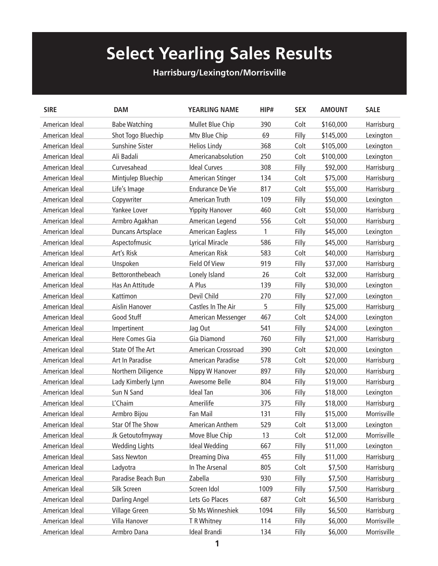## **Select Yearling Sales Results**

## **Harrisburg/Lexington/Morrisville**

| <b>SIRE</b>    | <b>DAM</b>            | <b>YEARLING NAME</b>    | HIP# | <b>SEX</b> | <b>AMOUNT</b> | <b>SALE</b> |
|----------------|-----------------------|-------------------------|------|------------|---------------|-------------|
| American Ideal | <b>Babe Watching</b>  | Mullet Blue Chip        | 390  | Colt       | \$160,000     | Harrisburg  |
| American Ideal | Shot Togo Bluechip    | Mtv Blue Chip           | 69   | Filly      | \$145,000     | Lexington   |
| American Ideal | Sunshine Sister       | <b>Helios Lindy</b>     | 368  | Colt       | \$105,000     | Lexington   |
| American Ideal | Ali Badali            | Americanabsolution      | 250  | Colt       | \$100,000     | Lexington   |
| American Ideal | Curvesahead           | <b>Ideal Curves</b>     | 308  | Filly      | \$92,000      | Harrisburg  |
| American Ideal | Mintjulep Bluechip    | American Stinger        | 134  | Colt       | \$75,000      | Harrisburg  |
| American Ideal | Life's Image          | <b>Endurance De Vie</b> | 817  | Colt       | \$55,000      | Harrisburg  |
| American Ideal | Copywriter            | American Truth          | 109  | Filly      | \$50,000      | Lexington   |
| American Ideal | Yankee Lover          | <b>Yippity Hanover</b>  | 460  | Colt       | \$50,000      | Harrisburg  |
| American Ideal | Armbro Agakhan        | American Legend         | 556  | Colt       | \$50,000      | Harrisburg  |
| American Ideal | Duncans Artsplace     | <b>American Eagless</b> | 1    | Filly      | \$45,000      | Lexington   |
| American Ideal | Aspectofmusic         | <b>Lyrical Miracle</b>  | 586  | Filly      | \$45,000      | Harrisburg  |
| American Ideal | Art's Risk            | American Risk           | 583  | Colt       | \$40,000      | Harrisburg  |
| American Ideal | Unspoken              | Field Of View           | 919  | Filly      | \$37,000      | Harrisburg  |
| American Ideal | Bettoronthebeach      | Lonely Island           | 26   | Colt       | \$32,000      | Harrisburg  |
| American Ideal | Has An Attitude       | A Plus                  | 139  | Filly      | \$30,000      | Lexington   |
| American Ideal | Kattimon              | Devil Child             | 270  | Filly      | \$27,000      | Lexington   |
| American Ideal | Aislin Hanover        | Castles In The Air      | 5    | Filly      | \$25,000      | Harrisburg  |
| American Ideal | Good Stuff            | American Messenger      | 467  | Colt       | \$24,000      | Lexington   |
| American Ideal | Impertinent           | Jag Out                 | 541  | Filly      | \$24,000      | Lexington   |
| American Ideal | Here Comes Gia        | Gia Diamond             | 760  | Filly      | \$21,000      | Harrisburg  |
| American Ideal | State Of The Art      | American Crossroad      | 390  | Colt       | \$20,000      | Lexington   |
| American Ideal | Art In Paradise       | American Paradise       | 578  | Colt       | \$20,000      | Harrisburg  |
| American Ideal | Northern Diligence    | Nippy W Hanover         | 897  | Filly      | \$20,000      | Harrisburg  |
| American Ideal | Lady Kimberly Lynn    | Awesome Belle           | 804  | Filly      | \$19,000      | Harrisburg  |
| American Ideal | Sun N Sand            | <b>Ideal Tan</b>        | 306  | Filly      | \$18,000      | Lexington   |
| American Ideal | L'Chaim               | Amerilife               | 375  | Filly      | \$18,000      | Harrisburg  |
| American Ideal | Armbro Bijou          | Fan Mail                | 131  | Filly      | \$15,000      | Morrisville |
| American Ideal | Star Of The Show      | <b>American Anthem</b>  | 529  | Colt       | \$13,000      | Lexington   |
| American Ideal | Jk Getoutofmyway      | Move Blue Chip          | 13   | Colt       | \$12,000      | Morrisville |
| American Ideal | <b>Wedding Lights</b> | <b>Ideal Wedding</b>    | 667  | Filly      | \$11,000      | Lexington   |
| American Ideal | Sass Newton           | <b>Dreaming Diva</b>    | 455  | Filly      | \$11,000      | Harrisburg  |
| American Ideal | Ladyotra              | In The Arsenal          | 805  | Colt       | \$7,500       | Harrisburg  |
| American Ideal | Paradise Beach Bun    | Zabella                 | 930  | Filly      | \$7,500       | Harrisburg  |
| American Ideal | Silk Screen           | Screen Idol             | 1009 | Filly      | \$7,500       | Harrisburg  |
| American Ideal | <b>Darling Angel</b>  | Lets Go Places          | 687  | Colt       | \$6,500       | Harrisburg  |
| American Ideal | Village Green         | Sb Ms Winneshiek        | 1094 | Filly      | \$6,500       | Harrisburg  |
| American Ideal | Villa Hanover         | T R Whitney             | 114  | Filly      | \$6,000       | Morrisville |
| American Ideal | Armbro Dana           | <b>Ideal Brandi</b>     | 134  | Filly      | \$6,000       | Morrisville |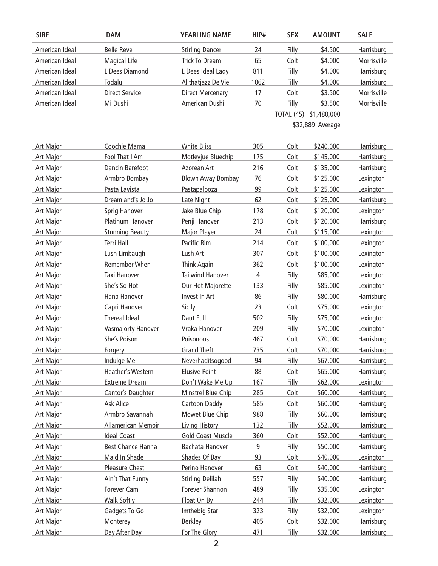| <b>SIRE</b>      | <b>DAM</b>               | <b>YEARLING NAME</b>     | HIP#                   | <b>SEX</b> | <b>AMOUNT</b> | <b>SALE</b> |  |  |  |
|------------------|--------------------------|--------------------------|------------------------|------------|---------------|-------------|--|--|--|
| American Ideal   | <b>Belle Reve</b>        | <b>Stirling Dancer</b>   | 24                     | Filly      | \$4,500       | Harrisburg  |  |  |  |
| American Ideal   | <b>Magical Life</b>      | <b>Trick To Dream</b>    | 65                     | Colt       | \$4,000       | Morrisville |  |  |  |
| American Ideal   | L Dees Diamond           | L Dees Ideal Lady        | 811                    | Filly      | \$4,000       | Harrisburg  |  |  |  |
| American Ideal   | Todalu                   | Allthatjazz De Vie       | 1062                   | Filly      | \$4,000       | Harrisburg  |  |  |  |
| American Ideal   | <b>Direct Service</b>    | <b>Direct Mercenary</b>  | 17                     | Colt       | \$3,500       | Morrisville |  |  |  |
| American Ideal   | Mi Dushi                 | American Dushi           | 70                     | Filly      | \$3,500       | Morrisville |  |  |  |
|                  |                          |                          | TOTAL (45) \$1,480,000 |            |               |             |  |  |  |
|                  |                          |                          | \$32,889 Average       |            |               |             |  |  |  |
| <b>Art Major</b> | Coochie Mama             | <b>White Bliss</b>       | 305                    | Colt       | \$240,000     | Harrisburg  |  |  |  |
| Art Major        | Fool That I Am           | Motleyjue Bluechip       | 175                    | Colt       | \$145,000     | Harrisburg  |  |  |  |
| Art Major        | Dancin Barefoot          | Azorean Art              | 216                    | Colt       | \$135,000     | Harrisburg  |  |  |  |
| Art Major        | Armbro Bombay            | <b>Blown Away Bombay</b> | 76                     | Colt       | \$125,000     | Lexington   |  |  |  |
| Art Major        | Pasta Lavista            | Pastapalooza             | 99                     | Colt       | \$125,000     | Lexington   |  |  |  |
| Art Major        | Dreamland's Jo Jo        | Late Night               | 62                     | Colt       | \$125,000     | Harrisburg  |  |  |  |
| Art Major        | Sprig Hanover            | Jake Blue Chip           | 178                    | Colt       | \$120,000     | Lexington   |  |  |  |
| Art Major        | <b>Platinum Hanover</b>  | Penji Hanover            | 213                    | Colt       | \$120,000     | Harrisburg  |  |  |  |
| Art Major        | <b>Stunning Beauty</b>   | <b>Major Player</b>      | 24                     | Colt       | \$115,000     | Lexington   |  |  |  |
| Art Major        | <b>Terri Hall</b>        | Pacific Rim              | 214                    | Colt       | \$100,000     | Lexington   |  |  |  |
| Art Major        | Lush Limbaugh            | Lush Art                 | 307                    | Colt       | \$100,000     | Lexington   |  |  |  |
| Art Major        | Remember When            | <b>Think Again</b>       | 362                    | Colt       | \$100,000     | Lexington   |  |  |  |
| Art Major        | Taxi Hanover             | <b>Tailwind Hanover</b>  | 4                      | Filly      | \$85,000      | Lexington   |  |  |  |
| Art Major        | She's So Hot             | Our Hot Majorette        | 133                    | Filly      | \$85,000      | Lexington   |  |  |  |
| Art Major        | Hana Hanover             | Invest In Art            | 86                     | Filly      | \$80,000      | Harrisburg  |  |  |  |
| Art Major        | Capri Hanover            | Sicily                   | 23                     | Colt       | \$75,000      | Lexington   |  |  |  |
| Art Major        | Thereal Ideal            | Daut Full                | 502                    | Filly      | \$75,000      | Lexington   |  |  |  |
| Art Major        | Vasmajorty Hanover       | Vraka Hanover            | 209                    | Filly      | \$70,000      | Lexington   |  |  |  |
| Art Major        | She's Poison             | Poisonous                | 467                    | Colt       | \$70,000      | Harrisburg  |  |  |  |
| Art Major        | Forgery                  | <b>Grand Theft</b>       | 735                    | Colt       | \$70,000      | Harrisburg  |  |  |  |
| Art Major        | Indulge Me               | Neverhaditsogood         | 94                     | Filly      | \$67,000      | Harrisburg  |  |  |  |
| Art Major        | Heather's Western        | <b>Elusive Point</b>     | 88                     | Colt       | \$65,000      | Harrisburg  |  |  |  |
| Art Major        | <b>Extreme Dream</b>     | Don't Wake Me Up         | 167                    | Filly      | \$62,000      | Lexington   |  |  |  |
| Art Major        | Cantor's Daughter        | Minstrel Blue Chip       | 285                    | Colt       | \$60,000      | Harrisburg  |  |  |  |
| Art Major        | Ask Alice                | Cartoon Daddy            | 585                    | Colt       | \$60,000      | Harrisburg  |  |  |  |
| Art Major        | Armbro Savannah          | Mowet Blue Chip          | 988                    | Filly      | \$60,000      | Harrisburg  |  |  |  |
| Art Major        | Allamerican Memoir       | Living History           | 132                    | Filly      | \$52,000      | Harrisburg  |  |  |  |
| Art Major        | <b>Ideal Coast</b>       | <b>Gold Coast Muscle</b> | 360                    | Colt       | \$52,000      | Harrisburg  |  |  |  |
| Art Major        | <b>Best Chance Hanna</b> | Bachata Hanover          | 9                      | Filly      | \$50,000      | Harrisburg  |  |  |  |
| Art Major        | Maid In Shade            | Shades Of Bay            | 93                     | Colt       | \$40,000      | Lexington   |  |  |  |
| Art Major        | Pleasure Chest           | Perino Hanover           | 63                     | Colt       | \$40,000      | Harrisburg  |  |  |  |
| Art Major        | Ain't That Funny         | <b>Stirling Delilah</b>  | 557                    | Filly      | \$40,000      | Harrisburg  |  |  |  |
| Art Major        | Forever Cam              | Forever Shannon          | 489                    | Filly      | \$35,000      | Lexington   |  |  |  |
| Art Major        | <b>Walk Softly</b>       | Float On By              | 244                    | Filly      | \$32,000      | Lexington   |  |  |  |
| Art Major        | Gadgets To Go            | Imthebig Star            | 323                    | Filly      | \$32,000      | Lexington   |  |  |  |
| Art Major        | Monterey                 | <b>Berkley</b>           | 405                    | Colt       | \$32,000      | Harrisburg  |  |  |  |
| <b>Art Major</b> | Day After Day            | For The Glory            | 471                    | Filly      | \$32,000      | Harrisburg  |  |  |  |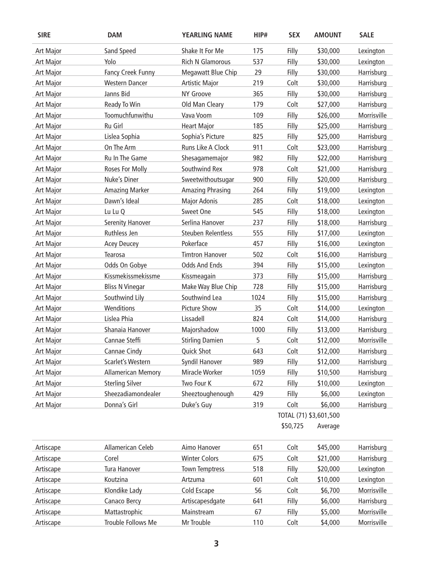| <b>SIRE</b>      | <b>DAM</b>                | <b>YEARLING NAME</b>      | HIP# | <b>SEX</b>             | <b>AMOUNT</b> | <b>SALE</b> |
|------------------|---------------------------|---------------------------|------|------------------------|---------------|-------------|
| <b>Art Major</b> | Sand Speed                | Shake It For Me           | 175  | Filly                  | \$30,000      | Lexington   |
| <b>Art Major</b> | Yolo                      | <b>Rich N Glamorous</b>   | 537  | Filly                  | \$30,000      | Lexington   |
| Art Major        | Fancy Creek Funny         | Megawatt Blue Chip        | 29   | Filly                  | \$30,000      | Harrisburg  |
| <b>Art Major</b> | <b>Western Dancer</b>     | <b>Artistic Major</b>     | 219  | Colt                   | \$30,000      | Harrisburg  |
| <b>Art Major</b> | Janns Bid                 | NY Groove                 | 365  | Filly                  | \$30,000      | Harrisburg  |
| Art Major        | Ready To Win              | Old Man Cleary            | 179  | Colt                   | \$27,000      | Harrisburg  |
| <b>Art Major</b> | Toomuchfunwithu           | Vava Voom                 | 109  | Filly                  | \$26,000      | Morrisville |
| Art Major        | Ru Girl                   | <b>Heart Major</b>        | 185  | Filly                  | \$25,000      | Harrisburg  |
| <b>Art Major</b> | Lislea Sophia             | Sophia's Picture          | 825  | Filly                  | \$25,000      | Harrisburg  |
| <b>Art Major</b> | On The Arm                | Runs Like A Clock         | 911  | Colt                   | \$23,000      | Harrisburg  |
| <b>Art Major</b> | Ru In The Game            | Shesagamemajor            | 982  | Filly                  | \$22,000      | Harrisburg  |
| Art Major        | Roses For Molly           | Southwind Rex             | 978  | Colt                   | \$21,000      | Harrisburg  |
| <b>Art Major</b> | Nuke's Diner              | Sweetwithoutsugar         | 900  | Filly                  | \$20,000      | Harrisburg  |
| Art Major        | <b>Amazing Marker</b>     | <b>Amazing Phrasing</b>   | 264  | Filly                  | \$19,000      | Lexington   |
| <b>Art Major</b> | Dawn's Ideal              | <b>Major Adonis</b>       | 285  | Colt                   | \$18,000      | Lexington   |
| Art Major        | Lu Lu Q                   | Sweet One                 | 545  | Filly                  | \$18,000      | Lexington   |
| <b>Art Major</b> | <b>Serenity Hanover</b>   | Serlina Hanover           | 237  | Filly                  | \$18,000      | Harrisburg  |
| <b>Art Major</b> | Ruthless Jen              | <b>Steuben Relentless</b> | 555  | Filly                  | \$17,000      | Lexington   |
| <b>Art Major</b> | <b>Acey Deucey</b>        | Pokerface                 | 457  | Filly                  | \$16,000      | Lexington   |
| <b>Art Major</b> | Tearosa                   | <b>Timtron Hanover</b>    | 502  | Colt                   | \$16,000      | Harrisburg  |
| Art Major        | Odds On Gobye             | <b>Odds And Ends</b>      | 394  | Filly                  | \$15,000      | Lexington   |
| <b>Art Major</b> | Kissmekissmekissme        | Kissmeagain               | 373  | Filly                  | \$15,000      | Harrisburg  |
| <b>Art Major</b> | <b>Bliss N Vinegar</b>    | Make Way Blue Chip        | 728  | Filly                  | \$15,000      | Harrisburg  |
| Art Major        | Southwind Lily            | Southwind Lea             | 1024 | Filly                  | \$15,000      | Harrisburg  |
| Art Major        | Wenditions                | <b>Picture Show</b>       | 35   | Colt                   | \$14,000      | Lexington   |
| <b>Art Major</b> | Lislea Phia               | Lissadell                 | 824  | Colt                   | \$14,000      | Harrisburg  |
| <b>Art Major</b> | Shanaia Hanover           | Majorshadow               | 1000 | Filly                  | \$13,000      | Harrisburg  |
| <b>Art Major</b> | Cannae Steffi             | <b>Stirling Damien</b>    | 5    | Colt                   | \$12,000      | Morrisville |
| <b>Art Major</b> | Cannae Cindy              | <b>Quick Shot</b>         | 643  | Colt                   | \$12,000      | Harrisburg  |
| <b>Art Major</b> | Scarlet's Western         | Syndil Hanover            | 989  | Filly                  | \$12,000      | Harrisburg  |
| <b>Art Major</b> | <b>Allamerican Memory</b> | Miracle Worker            | 1059 | Filly                  | \$10,500      | Harrisburg  |
| Art Major        | <b>Sterling Silver</b>    | Two Four K                | 672  | Filly                  | \$10,000      | Lexington   |
| <b>Art Major</b> | Sheezadiamondealer        | Sheeztoughenough          | 429  | Filly                  | \$6,000       | Lexington   |
| Art Major        | Donna's Girl              | Duke's Guy                | 319  | Colt                   | \$6,000       | Harrisburg  |
|                  |                           |                           |      | TOTAL (71) \$3,601,500 |               |             |
|                  |                           |                           |      | \$50,725               | Average       |             |
| Artiscape        | Allamerican Celeb         | Aimo Hanover              | 651  | Colt                   | \$45,000      | Harrisburg  |
| Artiscape        | Corel                     | <b>Winter Colors</b>      | 675  | Colt                   | \$21,000      | Harrisburg  |
| Artiscape        | Tura Hanover              | <b>Town Temptress</b>     | 518  | Filly                  | \$20,000      | Lexington   |
| Artiscape        | Koutzina                  | Artzuma                   | 601  | Colt                   | \$10,000      | Lexington   |
| Artiscape        | Klondike Lady             | Cold Escape               | 56   | Colt                   | \$6,700       | Morrisville |
| Artiscape        | Canaco Bercy              | Artiscapesdgate           | 641  | Filly                  | \$6,000       | Harrisburg  |
| Artiscape        | Mattastrophic             | Mainstream                | 67   | Filly                  | \$5,000       | Morrisville |
| Artiscape        | Trouble Follows Me        | Mr Trouble                | 110  | Colt                   | \$4,000       | Morrisville |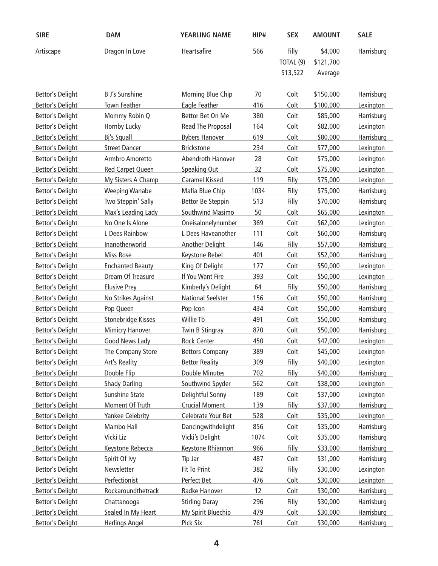| <b>SIRE</b>             | <b>DAM</b>                | <b>YEARLING NAME</b>     | HIP# | <b>SEX</b> | <b>AMOUNT</b> | <b>SALE</b> |
|-------------------------|---------------------------|--------------------------|------|------------|---------------|-------------|
| Artiscape               | Dragon In Love            | Heartsafire              | 566  | Filly      | \$4,000       | Harrisburg  |
|                         |                           |                          |      | TOTAL (9)  | \$121,700     |             |
|                         |                           |                          |      | \$13,522   | Average       |             |
|                         |                           |                          |      |            |               |             |
| Bettor's Delight        | <b>B J's Sunshine</b>     | Morning Blue Chip        | 70   | Colt       | \$150,000     | Harrisburg  |
| Bettor's Delight        | Town Feather              | Eagle Feather            | 416  | Colt       | \$100,000     | Lexington   |
| Bettor's Delight        | Mommy Robin Q             | Bettor Bet On Me         | 380  | Colt       | \$85,000      | Harrisburg  |
| Bettor's Delight        | Hornby Lucky              | Read The Proposal        | 164  | Colt       | \$82,000      | Lexington   |
| Bettor's Delight        | Bj's Squall               | <b>Bybers Hanover</b>    | 619  | Colt       | \$80,000      | Harrisburg  |
| <b>Bettor's Delight</b> | <b>Street Dancer</b>      | <b>Brickstone</b>        | 234  | Colt       | \$77,000      | Lexington   |
| Bettor's Delight        | Armbro Amoretto           | Abendroth Hanover        | 28   | Colt       | \$75,000      | Lexington   |
| Bettor's Delight        | Red Carpet Queen          | Speaking Out             | 32   | Colt       | \$75,000      | Lexington   |
| <b>Bettor's Delight</b> | My Sisters A Champ        | <b>Caramel Kissed</b>    | 119  | Filly      | \$75,000      | Lexington   |
| <b>Bettor's Delight</b> | <b>Weeping Wanabe</b>     | Mafia Blue Chip          | 1034 | Filly      | \$75,000      | Harrisburg  |
| Bettor's Delight        | Two Steppin' Sally        | Bettor Be Steppin        | 513  | Filly      | \$70,000      | Harrisburg  |
| Bettor's Delight        | Max's Leading Lady        | Southwind Masimo         | 50   | Colt       | \$65,000      | Lexington   |
| Bettor's Delight        | No One Is Alone           | Oneisalonelynumber       | 369  | Colt       | \$62,000      | Lexington   |
| <b>Bettor's Delight</b> | L Dees Rainbow            | L Dees Haveanother       | 111  | Colt       | \$60,000      | Harrisburg  |
| Bettor's Delight        | Inanotherworld            | Another Delight          | 146  | Filly      | \$57,000      | Harrisburg  |
| Bettor's Delight        | <b>Miss Rose</b>          | Keystone Rebel           | 401  | Colt       | \$52,000      | Harrisburg  |
| Bettor's Delight        | <b>Enchanted Beauty</b>   | King Of Delight          | 177  | Colt       | \$50,000      | Lexington   |
| <b>Bettor's Delight</b> | Dream Of Treasure         | If You Want Fire         | 393  | Colt       | \$50,000      | Lexington   |
| <b>Bettor's Delight</b> | <b>Elusive Prey</b>       | Kimberly's Delight       | 64   | Filly      | \$50,000      | Harrisburg  |
| Bettor's Delight        | No Strikes Against        | <b>National Seelster</b> | 156  | Colt       | \$50,000      | Harrisburg  |
| Bettor's Delight        | Pop Queen                 | Pop Icon                 | 434  | Colt       | \$50,000      | Harrisburg  |
| <b>Bettor's Delight</b> | <b>Stonebridge Kisses</b> | Willie Tb                | 491  | Colt       | \$50,000      | Harrisburg  |
| <b>Bettor's Delight</b> | <b>Mimicry Hanover</b>    | <b>Twin B Stingray</b>   | 870  | Colt       | \$50,000      | Harrisburg  |
| <b>Bettor's Delight</b> | Good News Lady            | <b>Rock Center</b>       | 450  | Colt       | \$47,000      | Lexington   |
| <b>Bettor's Delight</b> | The Company Store         | <b>Bettors Company</b>   | 389  | Colt       | \$45,000      | Lexington   |
| <b>Bettor's Delight</b> | Art's Reality             | <b>Bettor Reality</b>    | 309  | Filly      | \$40,000      | Lexington   |
| Bettor's Delight        | Double Flip               | <b>Double Minutes</b>    | 702  | Filly      | \$40,000      | Harrisburg  |
| <b>Bettor's Delight</b> | <b>Shady Darling</b>      | Southwind Spyder         | 562  | Colt       | \$38,000      | Lexington   |
| <b>Bettor's Delight</b> | Sunshine State            | Delightful Sonny         | 189  | Colt       | \$37,000      | Lexington   |
| <b>Bettor's Delight</b> | Moment Of Truth           | <b>Crucial Moment</b>    | 139  | Filly      | \$37,000      | Harrisburg  |
| <b>Bettor's Delight</b> | Yankee Celebrity          | Celebrate Your Bet       | 528  | Colt       | \$35,000      | Lexington   |
| <b>Bettor's Delight</b> | Mambo Hall                | Dancingwithdelight       | 856  | Colt       | \$35,000      | Harrisburg  |
| <b>Bettor's Delight</b> | Vicki Liz                 | Vicki's Delight          | 1074 | Colt       | \$35,000      | Harrisburg  |
| <b>Bettor's Delight</b> | Keystone Rebecca          | Keystone Rhiannon        | 966  | Filly      | \$33,000      | Harrisburg  |
| <b>Bettor's Delight</b> | Spirit Of Ivy             | Tip Jar                  | 487  | Colt       | \$31,000      | Harrisburg  |
| <b>Bettor's Delight</b> | Newsletter                | Fit To Print             | 382  | Filly      | \$30,000      | Lexington   |
| <b>Bettor's Delight</b> | Perfectionist             | Perfect Bet              | 476  | Colt       | \$30,000      | Lexington   |
| <b>Bettor's Delight</b> | Rockaroundthetrack        | Radke Hanover            | 12   | Colt       | \$30,000      | Harrisburg  |
| <b>Bettor's Delight</b> | Chattanooga               | <b>Stirling Daray</b>    | 296  | Filly      | \$30,000      | Harrisburg  |
| <b>Bettor's Delight</b> | Sealed In My Heart        | My Spirit Bluechip       | 479  | Colt       | \$30,000      | Harrisburg  |
| <b>Bettor's Delight</b> | <b>Herlings Angel</b>     | Pick Six                 | 761  | Colt       | \$30,000      | Harrisburg  |
|                         |                           |                          |      |            |               |             |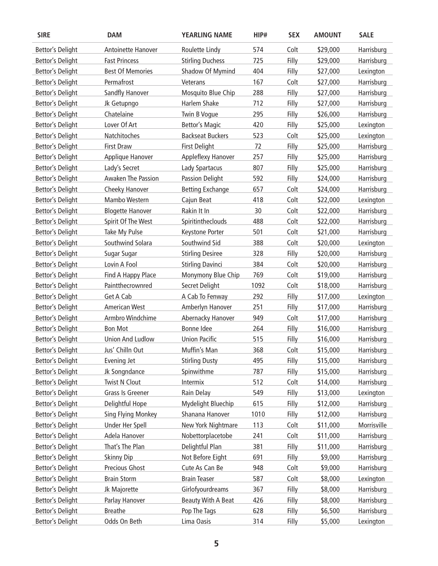| <b>SIRE</b>             | <b>DAM</b>                | <b>YEARLING NAME</b>      | HIP# | <b>SEX</b> | <b>AMOUNT</b> | <b>SALE</b> |
|-------------------------|---------------------------|---------------------------|------|------------|---------------|-------------|
| <b>Bettor's Delight</b> | Antoinette Hanover        | Roulette Lindy            | 574  | Colt       | \$29,000      | Harrisburg  |
| <b>Bettor's Delight</b> | <b>Fast Princess</b>      | <b>Stirling Duchess</b>   | 725  | Filly      | \$29,000      | Harrisburg  |
| <b>Bettor's Delight</b> | <b>Best Of Memories</b>   | Shadow Of Mymind          | 404  | Filly      | \$27,000      | Lexington   |
| <b>Bettor's Delight</b> | Permafrost                | Veterans                  | 167  | Colt       | \$27,000      | Harrisburg  |
| <b>Bettor's Delight</b> | Sandfly Hanover           | Mosquito Blue Chip        | 288  | Filly      | \$27,000      | Harrisburg  |
| <b>Bettor's Delight</b> | Jk Getupngo               | Harlem Shake              | 712  | Filly      | \$27,000      | Harrisburg  |
| <b>Bettor's Delight</b> | Chatelaine                | Twin B Vogue              | 295  | Filly      | \$26,000      | Harrisburg  |
| <b>Bettor's Delight</b> | Lover Of Art              | <b>Bettor's Magic</b>     | 420  | Filly      | \$25,000      | Lexington   |
| <b>Bettor's Delight</b> | Natchitoches              | <b>Backseat Buckers</b>   | 523  | Colt       | \$25,000      | Lexington   |
| <b>Bettor's Delight</b> | <b>First Draw</b>         | <b>First Delight</b>      | 72   | Filly      | \$25,000      | Harrisburg  |
| <b>Bettor's Delight</b> | Applique Hanover          | Appleflexy Hanover        | 257  | Filly      | \$25,000      | Harrisburg  |
| <b>Bettor's Delight</b> | Lady's Secret             | Lady Spartacus            | 807  | Filly      | \$25,000      | Harrisburg  |
| <b>Bettor's Delight</b> | Awaken The Passion        | Passion Delight           | 592  | Filly      | \$24,000      | Harrisburg  |
| Bettor's Delight        | Cheeky Hanover            | <b>Betting Exchange</b>   | 657  | Colt       | \$24,000      | Harrisburg  |
| <b>Bettor's Delight</b> | Mambo Western             | Cajun Beat                | 418  | Colt       | \$22,000      | Lexington   |
| <b>Bettor's Delight</b> | <b>Blogette Hanover</b>   | Rakin It In               | 30   | Colt       | \$22,000      | Harrisburg  |
| <b>Bettor's Delight</b> | Spirit Of The West        | Spiritintheclouds         | 488  | Colt       | \$22,000      | Harrisburg  |
| <b>Bettor's Delight</b> | Take My Pulse             | Keystone Porter           | 501  | Colt       | \$21,000      | Harrisburg  |
| <b>Bettor's Delight</b> | Southwind Solara          | Southwind Sid             | 388  | Colt       | \$20,000      | Lexington   |
| <b>Bettor's Delight</b> | Sugar Sugar               | <b>Stirling Desiree</b>   | 328  | Filly      | \$20,000      | Harrisburg  |
| <b>Bettor's Delight</b> | Lovin A Fool              | <b>Stirling Davinci</b>   | 384  | Colt       | \$20,000      | Harrisburg  |
| <b>Bettor's Delight</b> | Find A Happy Place        | Monymony Blue Chip        | 769  | Colt       | \$19,000      | Harrisburg  |
| <b>Bettor's Delight</b> | Paintthecrownred          | Secret Delight            | 1092 | Colt       | \$18,000      | Harrisburg  |
| <b>Bettor's Delight</b> | Get A Cab                 | A Cab To Fenway           | 292  | Filly      | \$17,000      | Lexington   |
| Bettor's Delight        | <b>American West</b>      | Amberlyn Hanover          | 251  | Filly      | \$17,000      | Harrisburg  |
| <b>Bettor's Delight</b> | Armbro Windchime          | Abernacky Hanover         | 949  | Colt       | \$17,000      | Harrisburg  |
| <b>Bettor's Delight</b> | <b>Bon Mot</b>            | Bonne Idee                | 264  | Filly      | \$16,000      | Harrisburg  |
| <b>Bettor's Delight</b> | <b>Union And Ludlow</b>   | <b>Union Pacific</b>      | 515  | Filly      | \$16,000      | Harrisburg  |
| <b>Bettor's Delight</b> | Jus' Chilln Out           | Muffin's Man              | 368  | Colt       | \$15,000      | Harrisburg  |
| <b>Bettor's Delight</b> | Evening Jet               | <b>Stirling Dusty</b>     | 495  | Filly      | \$15,000      | Harrisburg  |
| <b>Bettor's Delight</b> | Jk Songndance             | Spinwithme                | 787  | Filly      | \$15,000      | Harrisburg  |
| <b>Bettor's Delight</b> | <b>Twist N Clout</b>      | Intermix                  | 512  | Colt       | \$14,000      | Harrisburg  |
| <b>Bettor's Delight</b> | Grass Is Greener          | Rain Delay                | 549  | Filly      | \$13,000      | Lexington   |
| <b>Bettor's Delight</b> | Delightful Hope           | Mydelight Bluechip        | 615  | Filly      | \$12,000      | Harrisburg  |
| <b>Bettor's Delight</b> | <b>Sing Flying Monkey</b> | Shanana Hanover           | 1010 | Filly      | \$12,000      | Harrisburg  |
| <b>Bettor's Delight</b> | <b>Under Her Spell</b>    | New York Nightmare        | 113  | Colt       | \$11,000      | Morrisville |
| <b>Bettor's Delight</b> | Adela Hanover             | Nobettorplacetobe         | 241  | Colt       | \$11,000      | Harrisburg  |
| <b>Bettor's Delight</b> | That's The Plan           | Delightful Plan           | 381  | Filly      | \$11,000      | Harrisburg  |
| <b>Bettor's Delight</b> | <b>Skinny Dip</b>         | Not Before Eight          | 691  | Filly      | \$9,000       | Harrisburg  |
| <b>Bettor's Delight</b> | Precious Ghost            | Cute As Can Be            | 948  | Colt       | \$9,000       | Harrisburg  |
| <b>Bettor's Delight</b> | <b>Brain Storm</b>        | <b>Brain Teaser</b>       | 587  | Colt       | \$8,000       | Lexington   |
| <b>Bettor's Delight</b> | Jk Majorette              | Girlofyourdreams          | 367  | Filly      | \$8,000       | Harrisburg  |
| <b>Bettor's Delight</b> | Parlay Hanover            | <b>Beauty With A Beat</b> | 426  | Filly      | \$8,000       | Harrisburg  |
| <b>Bettor's Delight</b> | <b>Breathe</b>            | Pop The Tags              | 628  | Filly      | \$6,500       | Harrisburg  |
| <b>Bettor's Delight</b> | Odds On Beth              | Lima Oasis                | 314  | Filly      | \$5,000       | Lexington   |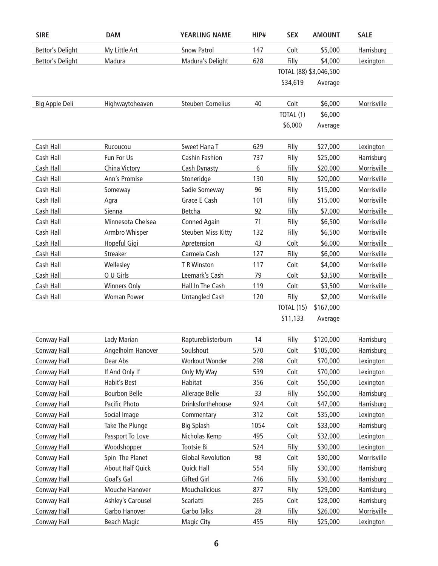| <b>SIRE</b>             | <b>DAM</b>              | <b>YEARLING NAME</b>      | HIP# | <b>SEX</b>             | <b>AMOUNT</b> | <b>SALE</b> |
|-------------------------|-------------------------|---------------------------|------|------------------------|---------------|-------------|
| <b>Bettor's Delight</b> | My Little Art           | <b>Snow Patrol</b>        | 147  | Colt                   | \$5,000       | Harrisburg  |
| <b>Bettor's Delight</b> | Madura                  | Madura's Delight          | 628  | Filly                  | \$4,000       | Lexington   |
|                         |                         |                           |      | TOTAL (88) \$3,046,500 |               |             |
|                         |                         |                           |      | \$34,619               | Average       |             |
| Big Apple Deli          | Highwaytoheaven         | <b>Steuben Cornelius</b>  | 40   | Colt                   | \$6,000       | Morrisville |
|                         |                         |                           |      | TOTAL (1)              | \$6,000       |             |
|                         |                         |                           |      | \$6,000                | Average       |             |
| Cash Hall               | Rucoucou                | Sweet Hana T              | 629  | Filly                  | \$27,000      | Lexington   |
| Cash Hall               | Fun For Us              | Cashin Fashion            | 737  | Filly                  | \$25,000      | Harrisburg  |
| Cash Hall               | China Victory           | Cash Dynasty              | 6    | Filly                  | \$20,000      | Morrisville |
| Cash Hall               | Ann's Promise           | Stoneridge                | 130  | Filly                  | \$20,000      | Morrisville |
| Cash Hall               | Someway                 | Sadie Someway             | 96   | Filly                  | \$15,000      | Morrisville |
| Cash Hall               | Agra                    | Grace E Cash              | 101  | Filly                  | \$15,000      | Morrisville |
| Cash Hall               | Sienna                  | Betcha                    | 92   | Filly                  | \$7,000       | Morrisville |
| Cash Hall               | Minnesota Chelsea       | <b>Conned Again</b>       | 71   | Filly                  | \$6,500       | Morrisville |
| Cash Hall               | Armbro Whisper          | <b>Steuben Miss Kitty</b> | 132  | Filly                  | \$6,500       | Morrisville |
| Cash Hall               | Hopeful Gigi            | Apretension               | 43   | Colt                   | \$6,000       | Morrisville |
| Cash Hall               | Streaker                | Carmela Cash              | 127  | Filly                  | \$6,000       | Morrisville |
| Cash Hall               | Wellesley               | T R Winston               | 117  | Colt                   | \$4,000       | Morrisville |
| Cash Hall               | O U Girls               | Leemark's Cash            | 79   | Colt                   | \$3,500       | Morrisville |
| Cash Hall               | Winners Only            | Hall In The Cash          | 119  | Colt                   | \$3,500       | Morrisville |
| Cash Hall               | <b>Woman Power</b>      | <b>Untangled Cash</b>     | 120  | Filly                  | \$2,000       | Morrisville |
|                         |                         |                           |      | TOTAL (15)             | \$167,000     |             |
|                         |                         |                           |      | \$11,133               | Average       |             |
| <b>Conway Hall</b>      | Lady Marian             | Raptureblisterburn        | 14   | Filly                  | \$120,000     | Harrisburg  |
| <b>Conway Hall</b>      | Angelholm Hanover       | Soulshout                 | 570  | Colt                   | \$105,000     | Harrisburg  |
| <b>Conway Hall</b>      | Dear Abs                | Workout Wonder            | 298  | Colt                   | \$70,000      | Lexington   |
| Conway Hall             | If And Only If          | Only My Way               | 539  | Colt                   | \$70,000      | Lexington   |
| <b>Conway Hall</b>      | Habit's Best            | Habitat                   | 356  | Colt                   | \$50,000      | Lexington   |
| <b>Conway Hall</b>      | <b>Bourbon Belle</b>    | Allerage Belle            | 33   | Filly                  | \$50,000      | Harrisburg  |
| <b>Conway Hall</b>      | Pacific Photo           | Drinksforthehouse         | 924  | Colt                   | \$47,000      | Harrisburg  |
| Conway Hall             | Social Image            | Commentary                | 312  | Colt                   | \$35,000      | Lexington   |
| <b>Conway Hall</b>      | Take The Plunge         | <b>Big Splash</b>         | 1054 | Colt                   | \$33,000      | Harrisburg  |
| <b>Conway Hall</b>      | Passport To Love        | Nicholas Kemp             | 495  | Colt                   | \$32,000      | Lexington   |
| <b>Conway Hall</b>      | Woodshopper             | Tootsie Bi                | 524  | Filly                  | \$30,000      | Lexington   |
| Conway Hall             | Spin The Planet         | <b>Global Revolution</b>  | 98   | Colt                   | \$30,000      | Morrisville |
| <b>Conway Hall</b>      | <b>About Half Quick</b> | <b>Quick Hall</b>         | 554  | Filly                  | \$30,000      | Harrisburg  |
| <b>Conway Hall</b>      | Goal's Gal              | <b>Gifted Girl</b>        | 746  | Filly                  | \$30,000      | Harrisburg  |
| <b>Conway Hall</b>      | Mouche Hanover          | Mouchalicious             | 877  | Filly                  | \$29,000      | Harrisburg  |
| <b>Conway Hall</b>      | Ashley's Carousel       | Scarlatti                 | 265  | Colt                   | \$28,000      | Harrisburg  |
| <b>Conway Hall</b>      | Garbo Hanover           | Garbo Talks               | 28   | Filly                  | \$26,000      | Morrisville |
| <b>Conway Hall</b>      | <b>Beach Magic</b>      | <b>Magic City</b>         | 455  | <b>Filly</b>           | \$25,000      | Lexington   |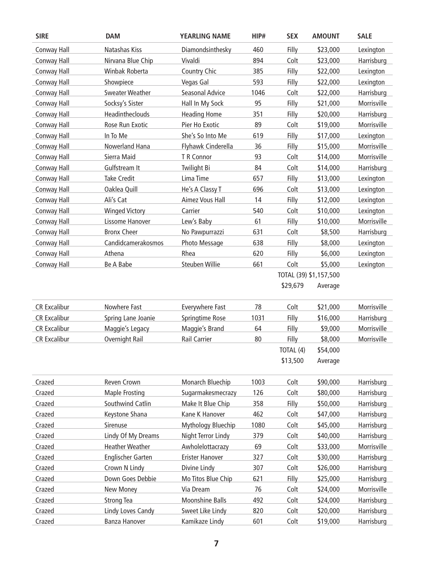| <b>SIRE</b>         | <b>DAM</b>                     | <b>YEARLING NAME</b>   | HIP# | <b>SEX</b>             | <b>AMOUNT</b>        | <b>SALE</b> |
|---------------------|--------------------------------|------------------------|------|------------------------|----------------------|-------------|
| Conway Hall         | Natashas Kiss                  | Diamondsinthesky       | 460  | Filly                  | \$23,000             | Lexington   |
| Conway Hall         | Nirvana Blue Chip              | Vivaldi                | 894  | Colt                   | \$23,000             | Harrisburg  |
| Conway Hall         | Winbak Roberta                 | <b>Country Chic</b>    | 385  | Filly                  | \$22,000             | Lexington   |
| Conway Hall         | Showpiece                      | Vegas Gal              | 593  | Filly                  | \$22,000             | Lexington   |
| Conway Hall         | <b>Sweater Weather</b>         | Seasonal Advice        | 1046 | Colt                   | \$22,000             | Harrisburg  |
| Conway Hall         | Socksy's Sister                | Hall In My Sock        | 95   | Filly                  | \$21,000             | Morrisville |
| Conway Hall         | Headintheclouds                | <b>Heading Home</b>    | 351  | Filly                  | \$20,000             | Harrisburg  |
| Conway Hall         | Rose Run Exotic                | Pier Ho Exotic         | 89   | Colt                   | \$19,000             | Morrisville |
| Conway Hall         | In To Me                       | She's So Into Me       | 619  | Filly                  | \$17,000             | Lexington   |
| Conway Hall         | Nowerland Hana                 | Flyhawk Cinderella     | 36   | Filly                  | \$15,000             | Morrisville |
| Conway Hall         | Sierra Maid                    | T R Connor             | 93   | Colt                   | \$14,000             | Morrisville |
| <b>Conway Hall</b>  | Gulfstream It                  | <b>Twilight Bi</b>     | 84   | Colt                   | \$14,000             | Harrisburg  |
| Conway Hall         | <b>Take Credit</b>             | Lima Time              | 657  | Filly                  | \$13,000             | Lexington   |
| Conway Hall         | Oaklea Quill                   | He's A Classy T        | 696  | Colt                   | \$13,000             | Lexington   |
| Conway Hall         | Ali's Cat                      | <b>Aimez Vous Hall</b> | 14   | Filly                  | \$12,000             | Lexington   |
| Conway Hall         | <b>Winged Victory</b>          | Carrier                | 540  | Colt                   | \$10,000             | Lexington   |
| Conway Hall         | Lissome Hanover                | Lew's Baby             | 61   | Filly                  | \$10,000             | Morrisville |
| Conway Hall         | <b>Bronx Cheer</b>             | No Pawpurrazzi         | 631  | Colt                   | \$8,500              | Harrisburg  |
| Conway Hall         | Candidcamerakosmos             | Photo Message          | 638  | Filly                  | \$8,000              | Lexington   |
| Conway Hall         | Athena                         | Rhea                   | 620  | Filly                  | \$6,000              | Lexington   |
| Conway Hall         | Be A Babe                      | <b>Steuben Willie</b>  | 661  | Colt                   | \$5,000              | Lexington   |
|                     |                                |                        |      | TOTAL (39) \$1,157,500 |                      |             |
|                     |                                |                        |      | \$29,679               | Average              |             |
| <b>CR Excalibur</b> | Nowhere Fast                   | Everywhere Fast        | 78   | Colt                   | \$21,000             | Morrisville |
| <b>CR Excalibur</b> | Spring Lane Joanie             | Springtime Rose        | 1031 | Filly                  | \$16,000             | Harrisburg  |
| <b>CR Excalibur</b> | Maggie's Legacy                | Maggie's Brand         | 64   | Filly                  | \$9,000              | Morrisville |
| <b>CR Excalibur</b> | <b>Overnight Rail</b>          | <b>Rail Carrier</b>    | 80   | Filly                  | \$8,000              | Morrisville |
|                     |                                |                        |      | TOTAL (4)              | \$54,000             |             |
|                     |                                |                        |      | \$13,500               | Average              |             |
| Crazed              | Reven Crown                    | Monarch Bluechip       | 1003 | Colt                   | \$90,000             | Harrisburg  |
| Crazed              | <b>Maple Frosting</b>          | Sugarmakesmecrazy      | 126  | Colt                   | \$80,000             | Harrisburg  |
| Crazed              | Southwind Catlin               | Make It Blue Chip      | 358  | Filly                  | \$50,000             | Harrisburg  |
| Crazed              | Keystone Shana                 | Kane K Hanover         | 462  | Colt                   | \$47,000             | Harrisburg  |
| Crazed              | Sirenuse                       | Mythology Bluechip     | 1080 | Colt                   | \$45,000             | Harrisburg  |
| Crazed              | Lindy Of My Dreams             | Night Terror Lindy     | 379  | Colt                   | \$40,000             | Harrisburg  |
| Crazed              | <b>Heather Weather</b>         | Awholelottacrazy       | 69   | Colt                   | \$33,000             | Morrisville |
| Crazed              | <b>Englischer Garten</b>       | Erister Hanover        | 327  | Colt                   | \$30,000             | Harrisburg  |
| Crazed              | Crown N Lindy                  | Divine Lindy           | 307  | Colt                   | \$26,000             | Harrisburg  |
| Crazed              | Down Goes Debbie               | Mo Titos Blue Chip     | 621  | Filly                  | \$25,000             | Harrisburg  |
|                     |                                | Via Dream              | 76   | Colt                   |                      | Morrisville |
| Crazed<br>Crazed    | New Money<br><b>Strong Tea</b> | <b>Moonshine Balls</b> | 492  | Colt                   | \$24,000<br>\$24,000 | Harrisburg  |
| Crazed              | Lindy Loves Candy              | Sweet Like Lindy       | 820  | Colt                   | \$20,000             | Harrisburg  |
| Crazed              | Banza Hanover                  | Kamikaze Lindy         | 601  | Colt                   |                      | Harrisburg  |
|                     |                                |                        |      |                        | \$19,000             |             |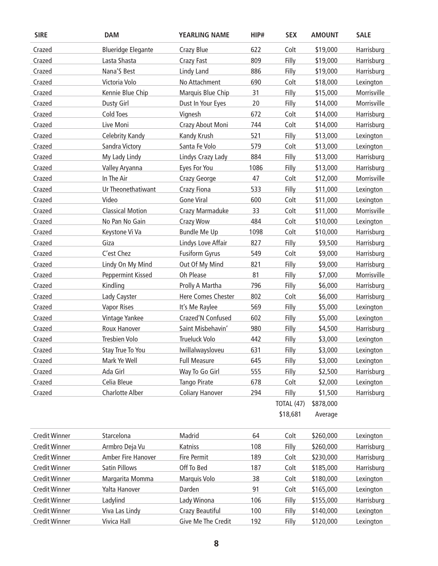| <b>SIRE</b>          | <b>DAM</b>                | <b>YEARLING NAME</b>   | HIP# | <b>SEX</b>        | <b>AMOUNT</b> | <b>SALE</b> |
|----------------------|---------------------------|------------------------|------|-------------------|---------------|-------------|
| Crazed               | <b>Blueridge Elegante</b> | Crazy Blue             | 622  | Colt              | \$19,000      | Harrisburg  |
| Crazed               | Lasta Shasta              | <b>Crazy Fast</b>      | 809  | Filly             | \$19,000      | Harrisburg  |
| Crazed               | Nana'S Best               | <b>Lindy Land</b>      | 886  | Filly             | \$19,000      | Harrisburg  |
| Crazed               | Victoria Volo             | No Attachment          | 690  | Colt              | \$18,000      | Lexington   |
| Crazed               | Kennie Blue Chip          | Marquis Blue Chip      | 31   | Filly             | \$15,000      | Morrisville |
| Crazed               | <b>Dusty Girl</b>         | Dust In Your Eyes      | 20   | Filly             | \$14,000      | Morrisville |
| Crazed               | Cold Toes                 | Vignesh                | 672  | Colt              | \$14,000      | Harrisburg  |
| Crazed               | Live Moni                 | Crazy About Moni       | 744  | Colt              | \$14,000      | Harrisburg  |
| Crazed               | <b>Celebrity Kandy</b>    | Kandy Krush            | 521  | Filly             | \$13,000      | Lexington   |
| Crazed               | Sandra Victory            | Santa Fe Volo          | 579  | Colt              | \$13,000      | Lexington   |
| Crazed               | My Lady Lindy             | Lindys Crazy Lady      | 884  | Filly             | \$13,000      | Harrisburg  |
| Crazed               | Valley Aryanna            | Eyes For You           | 1086 | Filly             | \$13,000      | Harrisburg  |
| Crazed               | In The Air                | Crazy George           | 47   | Colt              | \$12,000      | Morrisville |
| Crazed               | Ur Theonethatiwant        | Crazy Fiona            | 533  | Filly             | \$11,000      | Lexington   |
| Crazed               | Video                     | <b>Gone Viral</b>      | 600  | Colt              | \$11,000      | Lexington   |
| Crazed               | <b>Classical Motion</b>   | Crazy Marmaduke        | 33   | Colt              | \$11,000      | Morrisville |
| Crazed               | No Pan No Gain            | <b>Crazy Wow</b>       | 484  | Colt              | \$10,000      | Lexington   |
| Crazed               | Keystone Vi Va            | <b>Bundle Me Up</b>    | 1098 | Colt              | \$10,000      | Harrisburg  |
| Crazed               | Giza                      | Lindys Love Affair     | 827  | Filly             | \$9,500       | Harrisburg  |
| Crazed               | C'est Chez                | <b>Fusiform Gyrus</b>  | 549  | Colt              | \$9,000       | Harrisburg  |
| Crazed               | Lindy On My Mind          | Out Of My Mind         | 821  | Filly             | \$9,000       | Harrisburg  |
| Crazed               | Peppermint Kissed         | Oh Please              | 81   | Filly             | \$7,000       | Morrisville |
| Crazed               | Kindling                  | Prolly A Martha        | 796  | Filly             | \$6,000       | Harrisburg  |
| Crazed               | Lady Cayster              | Here Comes Chester     | 802  | Colt              | \$6,000       | Harrisburg  |
| Crazed               | <b>Vapor Rises</b>        | It's Me Raylee         | 569  | Filly             | \$5,000       | Lexington   |
| Crazed               | Vintage Yankee            | Crazed'N Confused      | 602  | Filly             | \$5,000       | Lexington   |
| Crazed               | Roux Hanover              | Saint Misbehavin'      | 980  | Filly             | \$4,500       | Harrisburg  |
| Crazed               | Tresbien Volo             | <b>Trueluck Volo</b>   | 442  | Filly             | \$3,000       | Lexington   |
| Crazed               | <b>Stay True To You</b>   | Iwillalwaysloveu       | 631  | Filly             | \$3,000       | Lexington   |
| Crazed               | Mark Ye Well              | <b>Full Measure</b>    | 645  | Filly             | \$3,000       | Lexington   |
| Crazed               | Ada Girl                  | Way To Go Girl         | 555  | Filly             | \$2,500       | Harrisburg  |
| Crazed               | Celia Bleue               | <b>Tango Pirate</b>    | 678  | Colt              | \$2,000       | Lexington   |
| Crazed               | <b>Charlotte Alber</b>    | <b>Coliary Hanover</b> | 294  | Filly             | \$1,500       | Harrisburg  |
|                      |                           |                        |      | <b>TOTAL (47)</b> | \$878,000     |             |
|                      |                           |                        |      | \$18,681          | Average       |             |
| <b>Credit Winner</b> | Starcelona                | Madrid                 | 64   | Colt              | \$260,000     | Lexington   |
| <b>Credit Winner</b> | Armbro Deja Vu            | Katniss                | 108  | Filly             | \$260,000     | Harrisburg  |
| <b>Credit Winner</b> | Amber Fire Hanover        | <b>Fire Permit</b>     | 189  | Colt              | \$230,000     | Harrisburg  |
| <b>Credit Winner</b> | Satin Pillows             | Off To Bed             | 187  | Colt              | \$185,000     | Harrisburg  |
| <b>Credit Winner</b> | Margarita Momma           | Marquis Volo           | 38   | Colt              | \$180,000     | Lexington   |
| <b>Credit Winner</b> | Yalta Hanover             | Darden                 | 91   | Colt              | \$165,000     | Lexington   |
| <b>Credit Winner</b> | Ladylind                  | Lady Winona            | 106  | Filly             | \$155,000     | Harrisburg  |
| <b>Credit Winner</b> | Viva Las Lindy            | Crazy Beautiful        | 100  | Filly             | \$140,000     | Lexington   |
| <b>Credit Winner</b> | <b>Vivica Hall</b>        | Give Me The Credit     | 192  | Filly             | \$120,000     | Lexington   |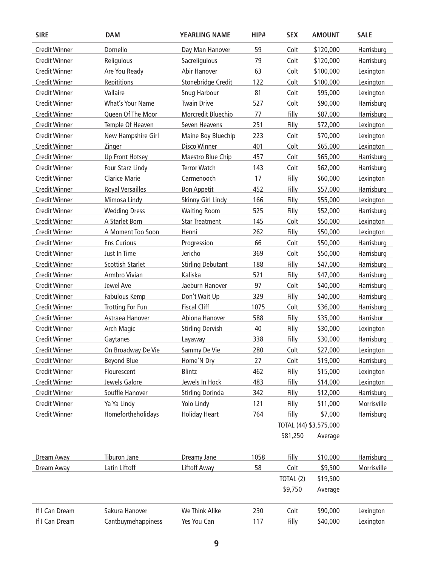| <b>Credit Winner</b><br>Dornello<br>59<br>\$120,000<br>Day Man Hanover<br>Colt<br>Harrisburg<br>Religulous<br>Colt<br><b>Credit Winner</b><br>Sacreligulous<br>79<br>\$120,000<br>Harrisburg<br><b>Credit Winner</b><br>Are You Ready<br>Abir Hanover<br>63<br>Colt<br>\$100,000<br>Lexington<br><b>Credit Winner</b><br>Repititions<br>Stonebridge Credit<br>122<br>Colt<br>\$100,000<br>Lexington<br><b>Credit Winner</b><br>Vallaire<br>Snug Harbour<br>81<br>Colt<br>\$95,000<br>Lexington<br><b>Twain Drive</b><br>527<br>Colt<br><b>Credit Winner</b><br>What's Your Name<br>\$90,000<br>Harrisburg<br><b>Credit Winner</b><br>Queen Of The Moor<br>Morcredit Bluechip<br>Filly<br>Harrisburg<br>77<br>\$87,000<br>Temple Of Heaven<br>251<br><b>Credit Winner</b><br>Seven Heavens<br>Filly<br>\$72,000<br>Lexington<br><b>Credit Winner</b><br>New Hampshire Girl<br>Maine Boy Bluechip<br>223<br>\$70,000<br>Colt<br>Lexington<br>Disco Winner<br>401<br><b>Credit Winner</b><br>Colt<br>\$65,000<br>Zinger<br>Lexington<br><b>Credit Winner</b><br>Maestro Blue Chip<br>457<br>Colt<br>Harrisburg<br>Up Front Hotsey<br>\$65,000<br><b>Credit Winner</b><br>Four Starz Lindy<br><b>Terror Watch</b><br>143<br>Colt<br>\$62,000<br>Harrisburg<br><b>Clarice Marie</b><br>Filly<br><b>Credit Winner</b><br>Carmenooch<br>17<br>\$60,000<br>Lexington<br><b>Credit Winner</b><br><b>Royal Versailles</b><br><b>Bon Appetit</b><br>452<br>Filly<br>\$57,000<br>Harrisburg<br><b>Credit Winner</b><br>Mimosa Lindy<br>Skinny Girl Lindy<br>166<br>Filly<br>\$55,000<br>Lexington<br><b>Credit Winner</b><br><b>Wedding Dress</b><br><b>Waiting Room</b><br>525<br>Filly<br>Harrisburg<br>\$52,000<br><b>Credit Winner</b><br>A Starlet Born<br><b>Star Treatment</b><br>145<br>Colt<br>\$50,000<br>Lexington<br>262<br>Filly<br><b>Credit Winner</b><br>A Moment Too Soon<br>Henni<br>\$50,000<br>Lexington<br><b>Credit Winner</b><br><b>Ens Curious</b><br>66<br>Colt<br>Harrisburg<br>\$50,000<br>Progression<br>Jericho<br><b>Credit Winner</b><br>Just In Time<br>369<br>Colt<br>\$50,000<br>Harrisburg<br><b>Credit Winner</b><br><b>Scottish Starlet</b><br><b>Stirling Debutant</b><br>188<br>Filly<br>\$47,000<br>Harrisburg<br>Armbro Vivian<br><b>Credit Winner</b><br>Kaliska<br>521<br>Filly<br>\$47,000<br>Harrisburg<br><b>Credit Winner</b><br>Jewel Ave<br>Jaeburn Hanover<br>97<br>Colt<br>\$40,000<br>Harrisburg<br><b>Credit Winner</b><br>Don't Wait Up<br>329<br>Filly<br>\$40,000<br>Harrisburg<br>Fabulous Kemp<br><b>Fiscal Cliff</b><br><b>Credit Winner</b><br><b>Trotting For Fun</b><br>1075<br>Colt<br>\$36,000<br>Harrisburg<br>Filly<br>Harrisbur<br><b>Credit Winner</b><br>Astraea Hanover<br>Abiona Hanover<br>588<br>\$35,000<br><b>Credit Winner</b><br><b>Stirling Dervish</b><br>40<br>Filly<br>\$30,000<br>Arch Magic<br>Lexington<br><b>Credit Winner</b><br>338<br>Filly<br>\$30,000<br>Harrisburg<br>Gaytanes<br>Layaway<br>Sammy De Vie<br>On Broadway De Vie<br>280<br>\$27,000<br>Lexington<br><b>Credit Winner</b><br>Colt<br><b>Beyond Blue</b><br>Colt<br><b>Credit Winner</b><br>Home'N Dry<br>27<br>\$19,000<br>Harrisburg<br>Flourescent<br>Blintz<br><b>Credit Winner</b><br>462<br>Filly<br>\$15,000<br>Lexington<br>Jewels Galore<br>Jewels In Hock<br><b>Credit Winner</b><br>483<br>Filly<br>\$14,000<br>Lexington<br>Souffle Hanover<br><b>Stirling Dorinda</b><br><b>Credit Winner</b><br>342<br>Filly<br>\$12,000<br>Harrisburg<br><b>Credit Winner</b><br>Ya Ya Lindy<br>Morrisville<br>Yolo Lindy<br>121<br>Filly<br>\$11,000<br><b>Homefortheholidays</b><br><b>Holiday Heart</b><br><b>Credit Winner</b><br>764<br>Filly<br>\$7,000<br>Harrisburg<br>TOTAL (44) \$3,575,000<br>\$81,250<br>Average<br>Tiburon Jane<br>1058<br>Filly<br>\$10,000<br>Harrisburg<br>Dream Away<br>Dreamy Jane<br>Latin Liftoff<br><b>Liftoff Away</b><br>58<br>\$9,500<br>Morrisville<br>Dream Away<br>Colt<br>TOTAL (2)<br>\$19,500<br>\$9,750<br>Average<br>Sakura Hanover<br>If I Can Dream<br>We Think Alike<br>230<br>Colt<br>\$90,000<br>Lexington<br>Cantbuymehappiness<br>If I Can Dream<br>Yes You Can<br>Filly<br>117<br>\$40,000<br>Lexington | <b>SIRE</b> | <b>DAM</b> | <b>YEARLING NAME</b> | HIP# | <b>SEX</b> | <b>AMOUNT</b> | <b>SALE</b> |
|------------------------------------------------------------------------------------------------------------------------------------------------------------------------------------------------------------------------------------------------------------------------------------------------------------------------------------------------------------------------------------------------------------------------------------------------------------------------------------------------------------------------------------------------------------------------------------------------------------------------------------------------------------------------------------------------------------------------------------------------------------------------------------------------------------------------------------------------------------------------------------------------------------------------------------------------------------------------------------------------------------------------------------------------------------------------------------------------------------------------------------------------------------------------------------------------------------------------------------------------------------------------------------------------------------------------------------------------------------------------------------------------------------------------------------------------------------------------------------------------------------------------------------------------------------------------------------------------------------------------------------------------------------------------------------------------------------------------------------------------------------------------------------------------------------------------------------------------------------------------------------------------------------------------------------------------------------------------------------------------------------------------------------------------------------------------------------------------------------------------------------------------------------------------------------------------------------------------------------------------------------------------------------------------------------------------------------------------------------------------------------------------------------------------------------------------------------------------------------------------------------------------------------------------------------------------------------------------------------------------------------------------------------------------------------------------------------------------------------------------------------------------------------------------------------------------------------------------------------------------------------------------------------------------------------------------------------------------------------------------------------------------------------------------------------------------------------------------------------------------------------------------------------------------------------------------------------------------------------------------------------------------------------------------------------------------------------------------------------------------------------------------------------------------------------------------------------------------------------------------------------------------------------------------------------------------------------------------------------------------------------------------------------------------------------------------------------------------------------------------------------------------------------------------------------------------------------------------------------------------------------------------------------------------------------------------------------------------------------------------------------------------------------------------------------------------------------------------------------------------------------------------------------------------------------------------------------|-------------|------------|----------------------|------|------------|---------------|-------------|
|                                                                                                                                                                                                                                                                                                                                                                                                                                                                                                                                                                                                                                                                                                                                                                                                                                                                                                                                                                                                                                                                                                                                                                                                                                                                                                                                                                                                                                                                                                                                                                                                                                                                                                                                                                                                                                                                                                                                                                                                                                                                                                                                                                                                                                                                                                                                                                                                                                                                                                                                                                                                                                                                                                                                                                                                                                                                                                                                                                                                                                                                                                                                                                                                                                                                                                                                                                                                                                                                                                                                                                                                                                                                                                                                                                                                                                                                                                                                                                                                                                                                                                                                                                                                            |             |            |                      |      |            |               |             |
|                                                                                                                                                                                                                                                                                                                                                                                                                                                                                                                                                                                                                                                                                                                                                                                                                                                                                                                                                                                                                                                                                                                                                                                                                                                                                                                                                                                                                                                                                                                                                                                                                                                                                                                                                                                                                                                                                                                                                                                                                                                                                                                                                                                                                                                                                                                                                                                                                                                                                                                                                                                                                                                                                                                                                                                                                                                                                                                                                                                                                                                                                                                                                                                                                                                                                                                                                                                                                                                                                                                                                                                                                                                                                                                                                                                                                                                                                                                                                                                                                                                                                                                                                                                                            |             |            |                      |      |            |               |             |
|                                                                                                                                                                                                                                                                                                                                                                                                                                                                                                                                                                                                                                                                                                                                                                                                                                                                                                                                                                                                                                                                                                                                                                                                                                                                                                                                                                                                                                                                                                                                                                                                                                                                                                                                                                                                                                                                                                                                                                                                                                                                                                                                                                                                                                                                                                                                                                                                                                                                                                                                                                                                                                                                                                                                                                                                                                                                                                                                                                                                                                                                                                                                                                                                                                                                                                                                                                                                                                                                                                                                                                                                                                                                                                                                                                                                                                                                                                                                                                                                                                                                                                                                                                                                            |             |            |                      |      |            |               |             |
|                                                                                                                                                                                                                                                                                                                                                                                                                                                                                                                                                                                                                                                                                                                                                                                                                                                                                                                                                                                                                                                                                                                                                                                                                                                                                                                                                                                                                                                                                                                                                                                                                                                                                                                                                                                                                                                                                                                                                                                                                                                                                                                                                                                                                                                                                                                                                                                                                                                                                                                                                                                                                                                                                                                                                                                                                                                                                                                                                                                                                                                                                                                                                                                                                                                                                                                                                                                                                                                                                                                                                                                                                                                                                                                                                                                                                                                                                                                                                                                                                                                                                                                                                                                                            |             |            |                      |      |            |               |             |
|                                                                                                                                                                                                                                                                                                                                                                                                                                                                                                                                                                                                                                                                                                                                                                                                                                                                                                                                                                                                                                                                                                                                                                                                                                                                                                                                                                                                                                                                                                                                                                                                                                                                                                                                                                                                                                                                                                                                                                                                                                                                                                                                                                                                                                                                                                                                                                                                                                                                                                                                                                                                                                                                                                                                                                                                                                                                                                                                                                                                                                                                                                                                                                                                                                                                                                                                                                                                                                                                                                                                                                                                                                                                                                                                                                                                                                                                                                                                                                                                                                                                                                                                                                                                            |             |            |                      |      |            |               |             |
|                                                                                                                                                                                                                                                                                                                                                                                                                                                                                                                                                                                                                                                                                                                                                                                                                                                                                                                                                                                                                                                                                                                                                                                                                                                                                                                                                                                                                                                                                                                                                                                                                                                                                                                                                                                                                                                                                                                                                                                                                                                                                                                                                                                                                                                                                                                                                                                                                                                                                                                                                                                                                                                                                                                                                                                                                                                                                                                                                                                                                                                                                                                                                                                                                                                                                                                                                                                                                                                                                                                                                                                                                                                                                                                                                                                                                                                                                                                                                                                                                                                                                                                                                                                                            |             |            |                      |      |            |               |             |
|                                                                                                                                                                                                                                                                                                                                                                                                                                                                                                                                                                                                                                                                                                                                                                                                                                                                                                                                                                                                                                                                                                                                                                                                                                                                                                                                                                                                                                                                                                                                                                                                                                                                                                                                                                                                                                                                                                                                                                                                                                                                                                                                                                                                                                                                                                                                                                                                                                                                                                                                                                                                                                                                                                                                                                                                                                                                                                                                                                                                                                                                                                                                                                                                                                                                                                                                                                                                                                                                                                                                                                                                                                                                                                                                                                                                                                                                                                                                                                                                                                                                                                                                                                                                            |             |            |                      |      |            |               |             |
|                                                                                                                                                                                                                                                                                                                                                                                                                                                                                                                                                                                                                                                                                                                                                                                                                                                                                                                                                                                                                                                                                                                                                                                                                                                                                                                                                                                                                                                                                                                                                                                                                                                                                                                                                                                                                                                                                                                                                                                                                                                                                                                                                                                                                                                                                                                                                                                                                                                                                                                                                                                                                                                                                                                                                                                                                                                                                                                                                                                                                                                                                                                                                                                                                                                                                                                                                                                                                                                                                                                                                                                                                                                                                                                                                                                                                                                                                                                                                                                                                                                                                                                                                                                                            |             |            |                      |      |            |               |             |
|                                                                                                                                                                                                                                                                                                                                                                                                                                                                                                                                                                                                                                                                                                                                                                                                                                                                                                                                                                                                                                                                                                                                                                                                                                                                                                                                                                                                                                                                                                                                                                                                                                                                                                                                                                                                                                                                                                                                                                                                                                                                                                                                                                                                                                                                                                                                                                                                                                                                                                                                                                                                                                                                                                                                                                                                                                                                                                                                                                                                                                                                                                                                                                                                                                                                                                                                                                                                                                                                                                                                                                                                                                                                                                                                                                                                                                                                                                                                                                                                                                                                                                                                                                                                            |             |            |                      |      |            |               |             |
|                                                                                                                                                                                                                                                                                                                                                                                                                                                                                                                                                                                                                                                                                                                                                                                                                                                                                                                                                                                                                                                                                                                                                                                                                                                                                                                                                                                                                                                                                                                                                                                                                                                                                                                                                                                                                                                                                                                                                                                                                                                                                                                                                                                                                                                                                                                                                                                                                                                                                                                                                                                                                                                                                                                                                                                                                                                                                                                                                                                                                                                                                                                                                                                                                                                                                                                                                                                                                                                                                                                                                                                                                                                                                                                                                                                                                                                                                                                                                                                                                                                                                                                                                                                                            |             |            |                      |      |            |               |             |
|                                                                                                                                                                                                                                                                                                                                                                                                                                                                                                                                                                                                                                                                                                                                                                                                                                                                                                                                                                                                                                                                                                                                                                                                                                                                                                                                                                                                                                                                                                                                                                                                                                                                                                                                                                                                                                                                                                                                                                                                                                                                                                                                                                                                                                                                                                                                                                                                                                                                                                                                                                                                                                                                                                                                                                                                                                                                                                                                                                                                                                                                                                                                                                                                                                                                                                                                                                                                                                                                                                                                                                                                                                                                                                                                                                                                                                                                                                                                                                                                                                                                                                                                                                                                            |             |            |                      |      |            |               |             |
|                                                                                                                                                                                                                                                                                                                                                                                                                                                                                                                                                                                                                                                                                                                                                                                                                                                                                                                                                                                                                                                                                                                                                                                                                                                                                                                                                                                                                                                                                                                                                                                                                                                                                                                                                                                                                                                                                                                                                                                                                                                                                                                                                                                                                                                                                                                                                                                                                                                                                                                                                                                                                                                                                                                                                                                                                                                                                                                                                                                                                                                                                                                                                                                                                                                                                                                                                                                                                                                                                                                                                                                                                                                                                                                                                                                                                                                                                                                                                                                                                                                                                                                                                                                                            |             |            |                      |      |            |               |             |
|                                                                                                                                                                                                                                                                                                                                                                                                                                                                                                                                                                                                                                                                                                                                                                                                                                                                                                                                                                                                                                                                                                                                                                                                                                                                                                                                                                                                                                                                                                                                                                                                                                                                                                                                                                                                                                                                                                                                                                                                                                                                                                                                                                                                                                                                                                                                                                                                                                                                                                                                                                                                                                                                                                                                                                                                                                                                                                                                                                                                                                                                                                                                                                                                                                                                                                                                                                                                                                                                                                                                                                                                                                                                                                                                                                                                                                                                                                                                                                                                                                                                                                                                                                                                            |             |            |                      |      |            |               |             |
|                                                                                                                                                                                                                                                                                                                                                                                                                                                                                                                                                                                                                                                                                                                                                                                                                                                                                                                                                                                                                                                                                                                                                                                                                                                                                                                                                                                                                                                                                                                                                                                                                                                                                                                                                                                                                                                                                                                                                                                                                                                                                                                                                                                                                                                                                                                                                                                                                                                                                                                                                                                                                                                                                                                                                                                                                                                                                                                                                                                                                                                                                                                                                                                                                                                                                                                                                                                                                                                                                                                                                                                                                                                                                                                                                                                                                                                                                                                                                                                                                                                                                                                                                                                                            |             |            |                      |      |            |               |             |
|                                                                                                                                                                                                                                                                                                                                                                                                                                                                                                                                                                                                                                                                                                                                                                                                                                                                                                                                                                                                                                                                                                                                                                                                                                                                                                                                                                                                                                                                                                                                                                                                                                                                                                                                                                                                                                                                                                                                                                                                                                                                                                                                                                                                                                                                                                                                                                                                                                                                                                                                                                                                                                                                                                                                                                                                                                                                                                                                                                                                                                                                                                                                                                                                                                                                                                                                                                                                                                                                                                                                                                                                                                                                                                                                                                                                                                                                                                                                                                                                                                                                                                                                                                                                            |             |            |                      |      |            |               |             |
|                                                                                                                                                                                                                                                                                                                                                                                                                                                                                                                                                                                                                                                                                                                                                                                                                                                                                                                                                                                                                                                                                                                                                                                                                                                                                                                                                                                                                                                                                                                                                                                                                                                                                                                                                                                                                                                                                                                                                                                                                                                                                                                                                                                                                                                                                                                                                                                                                                                                                                                                                                                                                                                                                                                                                                                                                                                                                                                                                                                                                                                                                                                                                                                                                                                                                                                                                                                                                                                                                                                                                                                                                                                                                                                                                                                                                                                                                                                                                                                                                                                                                                                                                                                                            |             |            |                      |      |            |               |             |
|                                                                                                                                                                                                                                                                                                                                                                                                                                                                                                                                                                                                                                                                                                                                                                                                                                                                                                                                                                                                                                                                                                                                                                                                                                                                                                                                                                                                                                                                                                                                                                                                                                                                                                                                                                                                                                                                                                                                                                                                                                                                                                                                                                                                                                                                                                                                                                                                                                                                                                                                                                                                                                                                                                                                                                                                                                                                                                                                                                                                                                                                                                                                                                                                                                                                                                                                                                                                                                                                                                                                                                                                                                                                                                                                                                                                                                                                                                                                                                                                                                                                                                                                                                                                            |             |            |                      |      |            |               |             |
|                                                                                                                                                                                                                                                                                                                                                                                                                                                                                                                                                                                                                                                                                                                                                                                                                                                                                                                                                                                                                                                                                                                                                                                                                                                                                                                                                                                                                                                                                                                                                                                                                                                                                                                                                                                                                                                                                                                                                                                                                                                                                                                                                                                                                                                                                                                                                                                                                                                                                                                                                                                                                                                                                                                                                                                                                                                                                                                                                                                                                                                                                                                                                                                                                                                                                                                                                                                                                                                                                                                                                                                                                                                                                                                                                                                                                                                                                                                                                                                                                                                                                                                                                                                                            |             |            |                      |      |            |               |             |
|                                                                                                                                                                                                                                                                                                                                                                                                                                                                                                                                                                                                                                                                                                                                                                                                                                                                                                                                                                                                                                                                                                                                                                                                                                                                                                                                                                                                                                                                                                                                                                                                                                                                                                                                                                                                                                                                                                                                                                                                                                                                                                                                                                                                                                                                                                                                                                                                                                                                                                                                                                                                                                                                                                                                                                                                                                                                                                                                                                                                                                                                                                                                                                                                                                                                                                                                                                                                                                                                                                                                                                                                                                                                                                                                                                                                                                                                                                                                                                                                                                                                                                                                                                                                            |             |            |                      |      |            |               |             |
|                                                                                                                                                                                                                                                                                                                                                                                                                                                                                                                                                                                                                                                                                                                                                                                                                                                                                                                                                                                                                                                                                                                                                                                                                                                                                                                                                                                                                                                                                                                                                                                                                                                                                                                                                                                                                                                                                                                                                                                                                                                                                                                                                                                                                                                                                                                                                                                                                                                                                                                                                                                                                                                                                                                                                                                                                                                                                                                                                                                                                                                                                                                                                                                                                                                                                                                                                                                                                                                                                                                                                                                                                                                                                                                                                                                                                                                                                                                                                                                                                                                                                                                                                                                                            |             |            |                      |      |            |               |             |
|                                                                                                                                                                                                                                                                                                                                                                                                                                                                                                                                                                                                                                                                                                                                                                                                                                                                                                                                                                                                                                                                                                                                                                                                                                                                                                                                                                                                                                                                                                                                                                                                                                                                                                                                                                                                                                                                                                                                                                                                                                                                                                                                                                                                                                                                                                                                                                                                                                                                                                                                                                                                                                                                                                                                                                                                                                                                                                                                                                                                                                                                                                                                                                                                                                                                                                                                                                                                                                                                                                                                                                                                                                                                                                                                                                                                                                                                                                                                                                                                                                                                                                                                                                                                            |             |            |                      |      |            |               |             |
|                                                                                                                                                                                                                                                                                                                                                                                                                                                                                                                                                                                                                                                                                                                                                                                                                                                                                                                                                                                                                                                                                                                                                                                                                                                                                                                                                                                                                                                                                                                                                                                                                                                                                                                                                                                                                                                                                                                                                                                                                                                                                                                                                                                                                                                                                                                                                                                                                                                                                                                                                                                                                                                                                                                                                                                                                                                                                                                                                                                                                                                                                                                                                                                                                                                                                                                                                                                                                                                                                                                                                                                                                                                                                                                                                                                                                                                                                                                                                                                                                                                                                                                                                                                                            |             |            |                      |      |            |               |             |
|                                                                                                                                                                                                                                                                                                                                                                                                                                                                                                                                                                                                                                                                                                                                                                                                                                                                                                                                                                                                                                                                                                                                                                                                                                                                                                                                                                                                                                                                                                                                                                                                                                                                                                                                                                                                                                                                                                                                                                                                                                                                                                                                                                                                                                                                                                                                                                                                                                                                                                                                                                                                                                                                                                                                                                                                                                                                                                                                                                                                                                                                                                                                                                                                                                                                                                                                                                                                                                                                                                                                                                                                                                                                                                                                                                                                                                                                                                                                                                                                                                                                                                                                                                                                            |             |            |                      |      |            |               |             |
|                                                                                                                                                                                                                                                                                                                                                                                                                                                                                                                                                                                                                                                                                                                                                                                                                                                                                                                                                                                                                                                                                                                                                                                                                                                                                                                                                                                                                                                                                                                                                                                                                                                                                                                                                                                                                                                                                                                                                                                                                                                                                                                                                                                                                                                                                                                                                                                                                                                                                                                                                                                                                                                                                                                                                                                                                                                                                                                                                                                                                                                                                                                                                                                                                                                                                                                                                                                                                                                                                                                                                                                                                                                                                                                                                                                                                                                                                                                                                                                                                                                                                                                                                                                                            |             |            |                      |      |            |               |             |
|                                                                                                                                                                                                                                                                                                                                                                                                                                                                                                                                                                                                                                                                                                                                                                                                                                                                                                                                                                                                                                                                                                                                                                                                                                                                                                                                                                                                                                                                                                                                                                                                                                                                                                                                                                                                                                                                                                                                                                                                                                                                                                                                                                                                                                                                                                                                                                                                                                                                                                                                                                                                                                                                                                                                                                                                                                                                                                                                                                                                                                                                                                                                                                                                                                                                                                                                                                                                                                                                                                                                                                                                                                                                                                                                                                                                                                                                                                                                                                                                                                                                                                                                                                                                            |             |            |                      |      |            |               |             |
|                                                                                                                                                                                                                                                                                                                                                                                                                                                                                                                                                                                                                                                                                                                                                                                                                                                                                                                                                                                                                                                                                                                                                                                                                                                                                                                                                                                                                                                                                                                                                                                                                                                                                                                                                                                                                                                                                                                                                                                                                                                                                                                                                                                                                                                                                                                                                                                                                                                                                                                                                                                                                                                                                                                                                                                                                                                                                                                                                                                                                                                                                                                                                                                                                                                                                                                                                                                                                                                                                                                                                                                                                                                                                                                                                                                                                                                                                                                                                                                                                                                                                                                                                                                                            |             |            |                      |      |            |               |             |
|                                                                                                                                                                                                                                                                                                                                                                                                                                                                                                                                                                                                                                                                                                                                                                                                                                                                                                                                                                                                                                                                                                                                                                                                                                                                                                                                                                                                                                                                                                                                                                                                                                                                                                                                                                                                                                                                                                                                                                                                                                                                                                                                                                                                                                                                                                                                                                                                                                                                                                                                                                                                                                                                                                                                                                                                                                                                                                                                                                                                                                                                                                                                                                                                                                                                                                                                                                                                                                                                                                                                                                                                                                                                                                                                                                                                                                                                                                                                                                                                                                                                                                                                                                                                            |             |            |                      |      |            |               |             |
|                                                                                                                                                                                                                                                                                                                                                                                                                                                                                                                                                                                                                                                                                                                                                                                                                                                                                                                                                                                                                                                                                                                                                                                                                                                                                                                                                                                                                                                                                                                                                                                                                                                                                                                                                                                                                                                                                                                                                                                                                                                                                                                                                                                                                                                                                                                                                                                                                                                                                                                                                                                                                                                                                                                                                                                                                                                                                                                                                                                                                                                                                                                                                                                                                                                                                                                                                                                                                                                                                                                                                                                                                                                                                                                                                                                                                                                                                                                                                                                                                                                                                                                                                                                                            |             |            |                      |      |            |               |             |
|                                                                                                                                                                                                                                                                                                                                                                                                                                                                                                                                                                                                                                                                                                                                                                                                                                                                                                                                                                                                                                                                                                                                                                                                                                                                                                                                                                                                                                                                                                                                                                                                                                                                                                                                                                                                                                                                                                                                                                                                                                                                                                                                                                                                                                                                                                                                                                                                                                                                                                                                                                                                                                                                                                                                                                                                                                                                                                                                                                                                                                                                                                                                                                                                                                                                                                                                                                                                                                                                                                                                                                                                                                                                                                                                                                                                                                                                                                                                                                                                                                                                                                                                                                                                            |             |            |                      |      |            |               |             |
|                                                                                                                                                                                                                                                                                                                                                                                                                                                                                                                                                                                                                                                                                                                                                                                                                                                                                                                                                                                                                                                                                                                                                                                                                                                                                                                                                                                                                                                                                                                                                                                                                                                                                                                                                                                                                                                                                                                                                                                                                                                                                                                                                                                                                                                                                                                                                                                                                                                                                                                                                                                                                                                                                                                                                                                                                                                                                                                                                                                                                                                                                                                                                                                                                                                                                                                                                                                                                                                                                                                                                                                                                                                                                                                                                                                                                                                                                                                                                                                                                                                                                                                                                                                                            |             |            |                      |      |            |               |             |
|                                                                                                                                                                                                                                                                                                                                                                                                                                                                                                                                                                                                                                                                                                                                                                                                                                                                                                                                                                                                                                                                                                                                                                                                                                                                                                                                                                                                                                                                                                                                                                                                                                                                                                                                                                                                                                                                                                                                                                                                                                                                                                                                                                                                                                                                                                                                                                                                                                                                                                                                                                                                                                                                                                                                                                                                                                                                                                                                                                                                                                                                                                                                                                                                                                                                                                                                                                                                                                                                                                                                                                                                                                                                                                                                                                                                                                                                                                                                                                                                                                                                                                                                                                                                            |             |            |                      |      |            |               |             |
|                                                                                                                                                                                                                                                                                                                                                                                                                                                                                                                                                                                                                                                                                                                                                                                                                                                                                                                                                                                                                                                                                                                                                                                                                                                                                                                                                                                                                                                                                                                                                                                                                                                                                                                                                                                                                                                                                                                                                                                                                                                                                                                                                                                                                                                                                                                                                                                                                                                                                                                                                                                                                                                                                                                                                                                                                                                                                                                                                                                                                                                                                                                                                                                                                                                                                                                                                                                                                                                                                                                                                                                                                                                                                                                                                                                                                                                                                                                                                                                                                                                                                                                                                                                                            |             |            |                      |      |            |               |             |
|                                                                                                                                                                                                                                                                                                                                                                                                                                                                                                                                                                                                                                                                                                                                                                                                                                                                                                                                                                                                                                                                                                                                                                                                                                                                                                                                                                                                                                                                                                                                                                                                                                                                                                                                                                                                                                                                                                                                                                                                                                                                                                                                                                                                                                                                                                                                                                                                                                                                                                                                                                                                                                                                                                                                                                                                                                                                                                                                                                                                                                                                                                                                                                                                                                                                                                                                                                                                                                                                                                                                                                                                                                                                                                                                                                                                                                                                                                                                                                                                                                                                                                                                                                                                            |             |            |                      |      |            |               |             |
|                                                                                                                                                                                                                                                                                                                                                                                                                                                                                                                                                                                                                                                                                                                                                                                                                                                                                                                                                                                                                                                                                                                                                                                                                                                                                                                                                                                                                                                                                                                                                                                                                                                                                                                                                                                                                                                                                                                                                                                                                                                                                                                                                                                                                                                                                                                                                                                                                                                                                                                                                                                                                                                                                                                                                                                                                                                                                                                                                                                                                                                                                                                                                                                                                                                                                                                                                                                                                                                                                                                                                                                                                                                                                                                                                                                                                                                                                                                                                                                                                                                                                                                                                                                                            |             |            |                      |      |            |               |             |
|                                                                                                                                                                                                                                                                                                                                                                                                                                                                                                                                                                                                                                                                                                                                                                                                                                                                                                                                                                                                                                                                                                                                                                                                                                                                                                                                                                                                                                                                                                                                                                                                                                                                                                                                                                                                                                                                                                                                                                                                                                                                                                                                                                                                                                                                                                                                                                                                                                                                                                                                                                                                                                                                                                                                                                                                                                                                                                                                                                                                                                                                                                                                                                                                                                                                                                                                                                                                                                                                                                                                                                                                                                                                                                                                                                                                                                                                                                                                                                                                                                                                                                                                                                                                            |             |            |                      |      |            |               |             |
|                                                                                                                                                                                                                                                                                                                                                                                                                                                                                                                                                                                                                                                                                                                                                                                                                                                                                                                                                                                                                                                                                                                                                                                                                                                                                                                                                                                                                                                                                                                                                                                                                                                                                                                                                                                                                                                                                                                                                                                                                                                                                                                                                                                                                                                                                                                                                                                                                                                                                                                                                                                                                                                                                                                                                                                                                                                                                                                                                                                                                                                                                                                                                                                                                                                                                                                                                                                                                                                                                                                                                                                                                                                                                                                                                                                                                                                                                                                                                                                                                                                                                                                                                                                                            |             |            |                      |      |            |               |             |
|                                                                                                                                                                                                                                                                                                                                                                                                                                                                                                                                                                                                                                                                                                                                                                                                                                                                                                                                                                                                                                                                                                                                                                                                                                                                                                                                                                                                                                                                                                                                                                                                                                                                                                                                                                                                                                                                                                                                                                                                                                                                                                                                                                                                                                                                                                                                                                                                                                                                                                                                                                                                                                                                                                                                                                                                                                                                                                                                                                                                                                                                                                                                                                                                                                                                                                                                                                                                                                                                                                                                                                                                                                                                                                                                                                                                                                                                                                                                                                                                                                                                                                                                                                                                            |             |            |                      |      |            |               |             |
|                                                                                                                                                                                                                                                                                                                                                                                                                                                                                                                                                                                                                                                                                                                                                                                                                                                                                                                                                                                                                                                                                                                                                                                                                                                                                                                                                                                                                                                                                                                                                                                                                                                                                                                                                                                                                                                                                                                                                                                                                                                                                                                                                                                                                                                                                                                                                                                                                                                                                                                                                                                                                                                                                                                                                                                                                                                                                                                                                                                                                                                                                                                                                                                                                                                                                                                                                                                                                                                                                                                                                                                                                                                                                                                                                                                                                                                                                                                                                                                                                                                                                                                                                                                                            |             |            |                      |      |            |               |             |
|                                                                                                                                                                                                                                                                                                                                                                                                                                                                                                                                                                                                                                                                                                                                                                                                                                                                                                                                                                                                                                                                                                                                                                                                                                                                                                                                                                                                                                                                                                                                                                                                                                                                                                                                                                                                                                                                                                                                                                                                                                                                                                                                                                                                                                                                                                                                                                                                                                                                                                                                                                                                                                                                                                                                                                                                                                                                                                                                                                                                                                                                                                                                                                                                                                                                                                                                                                                                                                                                                                                                                                                                                                                                                                                                                                                                                                                                                                                                                                                                                                                                                                                                                                                                            |             |            |                      |      |            |               |             |
|                                                                                                                                                                                                                                                                                                                                                                                                                                                                                                                                                                                                                                                                                                                                                                                                                                                                                                                                                                                                                                                                                                                                                                                                                                                                                                                                                                                                                                                                                                                                                                                                                                                                                                                                                                                                                                                                                                                                                                                                                                                                                                                                                                                                                                                                                                                                                                                                                                                                                                                                                                                                                                                                                                                                                                                                                                                                                                                                                                                                                                                                                                                                                                                                                                                                                                                                                                                                                                                                                                                                                                                                                                                                                                                                                                                                                                                                                                                                                                                                                                                                                                                                                                                                            |             |            |                      |      |            |               |             |
|                                                                                                                                                                                                                                                                                                                                                                                                                                                                                                                                                                                                                                                                                                                                                                                                                                                                                                                                                                                                                                                                                                                                                                                                                                                                                                                                                                                                                                                                                                                                                                                                                                                                                                                                                                                                                                                                                                                                                                                                                                                                                                                                                                                                                                                                                                                                                                                                                                                                                                                                                                                                                                                                                                                                                                                                                                                                                                                                                                                                                                                                                                                                                                                                                                                                                                                                                                                                                                                                                                                                                                                                                                                                                                                                                                                                                                                                                                                                                                                                                                                                                                                                                                                                            |             |            |                      |      |            |               |             |
|                                                                                                                                                                                                                                                                                                                                                                                                                                                                                                                                                                                                                                                                                                                                                                                                                                                                                                                                                                                                                                                                                                                                                                                                                                                                                                                                                                                                                                                                                                                                                                                                                                                                                                                                                                                                                                                                                                                                                                                                                                                                                                                                                                                                                                                                                                                                                                                                                                                                                                                                                                                                                                                                                                                                                                                                                                                                                                                                                                                                                                                                                                                                                                                                                                                                                                                                                                                                                                                                                                                                                                                                                                                                                                                                                                                                                                                                                                                                                                                                                                                                                                                                                                                                            |             |            |                      |      |            |               |             |
|                                                                                                                                                                                                                                                                                                                                                                                                                                                                                                                                                                                                                                                                                                                                                                                                                                                                                                                                                                                                                                                                                                                                                                                                                                                                                                                                                                                                                                                                                                                                                                                                                                                                                                                                                                                                                                                                                                                                                                                                                                                                                                                                                                                                                                                                                                                                                                                                                                                                                                                                                                                                                                                                                                                                                                                                                                                                                                                                                                                                                                                                                                                                                                                                                                                                                                                                                                                                                                                                                                                                                                                                                                                                                                                                                                                                                                                                                                                                                                                                                                                                                                                                                                                                            |             |            |                      |      |            |               |             |
|                                                                                                                                                                                                                                                                                                                                                                                                                                                                                                                                                                                                                                                                                                                                                                                                                                                                                                                                                                                                                                                                                                                                                                                                                                                                                                                                                                                                                                                                                                                                                                                                                                                                                                                                                                                                                                                                                                                                                                                                                                                                                                                                                                                                                                                                                                                                                                                                                                                                                                                                                                                                                                                                                                                                                                                                                                                                                                                                                                                                                                                                                                                                                                                                                                                                                                                                                                                                                                                                                                                                                                                                                                                                                                                                                                                                                                                                                                                                                                                                                                                                                                                                                                                                            |             |            |                      |      |            |               |             |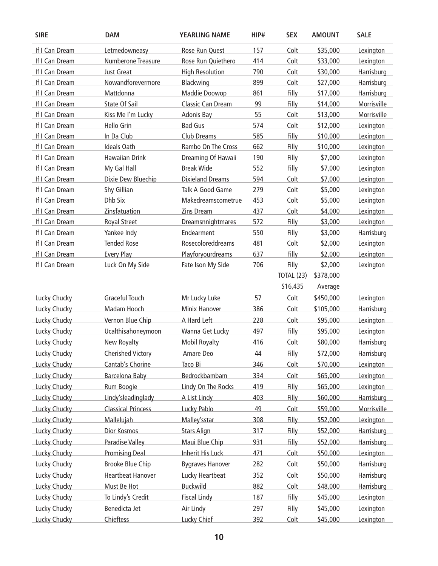| <b>SIRE</b>         | <b>DAM</b>                | <b>YEARLING NAME</b>    | HIP# | <b>SEX</b> | <b>AMOUNT</b> | <b>SALE</b>       |
|---------------------|---------------------------|-------------------------|------|------------|---------------|-------------------|
| If I Can Dream      | Letmedowneasy             | Rose Run Quest          | 157  | Colt       | \$35,000      | Lexington         |
| If I Can Dream      | Numberone Treasure        | Rose Run Quiethero      | 414  | Colt       | \$33,000      | Lexington         |
| If I Can Dream      | Just Great                | <b>High Resolution</b>  | 790  | Colt       | \$30,000      | Harrisburg        |
| If I Can Dream      | Nowandforevermore         | Blackwing               | 899  | Colt       | \$27,000      | Harrisburg        |
| If I Can Dream      | Mattdonna                 | Maddie Doowop           | 861  | Filly      | \$17,000      | Harrisburg        |
| If I Can Dream      | State Of Sail             | Classic Can Dream       | 99   | Filly      | \$14,000      | Morrisville       |
| If I Can Dream      | Kiss Me I'm Lucky         | Adonis Bay              | 55   | Colt       | \$13,000      | Morrisville       |
| If I Can Dream      | Hello Grin                | <b>Bad Gus</b>          | 574  | Colt       | \$12,000      | Lexington         |
| If I Can Dream      | In Da Club                | Club Dreams             | 585  | Filly      | \$10,000      | Lexington         |
| If I Can Dream      | <b>Ideals Oath</b>        | Rambo On The Cross      | 662  | Filly      | \$10,000      | Lexington         |
| If I Can Dream      | <b>Hawaiian Drink</b>     | Dreaming Of Hawaii      | 190  | Filly      | \$7,000       | Lexington         |
| If I Can Dream      | My Gal Hall               | <b>Break Wide</b>       | 552  | Filly      | \$7,000       | Lexington         |
| If I Can Dream      | Dixie Dew Bluechip        | <b>Dixieland Dreams</b> | 594  | Colt       | \$7,000       | Lexington         |
| If I Can Dream      | Shy Gillian               | Talk A Good Game        | 279  | Colt       | \$5,000       | Lexington         |
| If I Can Dream      | Dhb Six                   | Makedreamscometrue      | 453  | Colt       | \$5,000       | Lexington         |
| If I Can Dream      | Zinsfatuation             | <b>Zins Dream</b>       | 437  | Colt       | \$4,000       | Lexington         |
| If I Can Dream      | <b>Royal Street</b>       | Dreamsnnightmares       | 572  | Filly      | \$3,000       | Lexington         |
| If I Can Dream      | Yankee Indy               | Endearment              | 550  | Filly      | \$3,000       | Harrisburg        |
| If I Can Dream      | <b>Tended Rose</b>        | Rosecoloreddreams       | 481  | Colt       | \$2,000       | Lexington         |
| If I Can Dream      | <b>Every Play</b>         | Playforyourdreams       | 637  | Filly      | \$2,000       | Lexington         |
| If I Can Dream      | Luck On My Side           | Fate Ison My Side       | 706  | Filly      | \$2,000       | Lexington         |
|                     |                           |                         |      | TOTAL (23) | \$378,000     |                   |
|                     |                           |                         |      | \$16,435   | Average       |                   |
| <b>Lucky Chucky</b> | <b>Graceful Touch</b>     | Mr Lucky Luke           | 57   | Colt       | \$450,000     | Lexington         |
| <b>Lucky Chucky</b> | Madam Hooch               | <b>Minix Hanover</b>    | 386  | Colt       | \$105,000     | Harrisburg        |
| <b>Lucky Chucky</b> | Vernon Blue Chip          | A Hard Left             | 228  | Colt       | \$95,000      | Lexington         |
| <b>Lucky Chucky</b> | Ucalthisahoneymoon        | Wanna Get Lucky         | 497  | Filly      | \$95,000      | Lexington         |
| <b>Lucky Chucky</b> | New Royalty               | <b>Mobil Royalty</b>    | 416  | Colt       | \$80,000      | Harrisburg        |
| <b>Lucky Chucky</b> | <b>Cherished Victory</b>  | Amare Deo               | 44   | Filly      | \$72,000      | Harrisburg        |
| Lucky Chucky        | Cantab's Chorine          | Taco Bi                 | 346  | Colt       | \$70,000      | Lexington         |
| <b>Lucky Chucky</b> | Barcelona Baby            | Bedrockbambam           | 334  | Colt       | \$65,000      | Lexington         |
| <b>Lucky Chucky</b> | Rum Boogie                | Lindy On The Rocks      | 419  | Filly      | \$65,000      | Lexington         |
| <b>Lucky Chucky</b> | Lindy'sleadinglady        | A List Lindy            | 403  | Filly      | \$60,000      | <b>Harrisburg</b> |
| <b>Lucky Chucky</b> | <b>Classical Princess</b> | Lucky Pablo             | 49   | Colt       | \$59,000      | Morrisville       |
| <b>Lucky Chucky</b> | Mallelujah                | Malley'sstar            | 308  | Filly      | \$52,000      | Lexington         |
| <b>Lucky Chucky</b> | <b>Dior Kosmos</b>        | <b>Stars Align</b>      | 317  | Filly      | \$52,000      | Harrisburg        |
| Lucky Chucky        | Paradise Valley           | Maui Blue Chip          | 931  | Filly      | \$52,000      | Harrisburg        |
| <b>Lucky Chucky</b> | <b>Promising Deal</b>     | <b>Inherit His Luck</b> | 471  | Colt       | \$50,000      | Lexington         |
| <b>Lucky Chucky</b> | <b>Brooke Blue Chip</b>   | <b>Bygraves Hanover</b> | 282  | Colt       | \$50,000      | <b>Harrisburg</b> |
| <b>Lucky Chucky</b> | <b>Heartbeat Hanover</b>  | Lucky Heartbeat         | 352  | Colt       | \$50,000      | Harrisburg        |
| Lucky Chucky        | Must Be Hot               | <b>Buckwild</b>         | 882  | Colt       | \$48,000      | <b>Harrisburg</b> |
| <b>Lucky Chucky</b> | To Lindy's Credit         | <b>Fiscal Lindy</b>     | 187  | Filly      | \$45,000      | Lexington         |
| <b>Lucky Chucky</b> | Benedicta Jet             | Air Lindy               | 297  | Filly      | \$45,000      | Lexington         |
| <b>Lucky Chucky</b> | Chieftess                 | Lucky Chief             | 392  | Colt       | \$45,000      | Lexington         |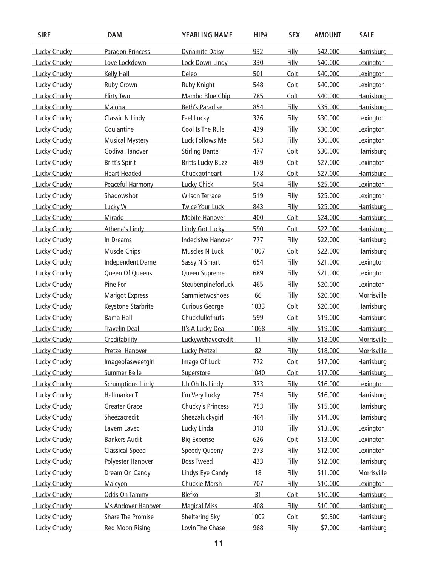| <b>SIRE</b>         | <b>DAM</b>               | YEARLING NAME             | HIP# | <b>SEX</b> | <b>AMOUNT</b> | <b>SALE</b>       |
|---------------------|--------------------------|---------------------------|------|------------|---------------|-------------------|
| <b>Lucky Chucky</b> | Paragon Princess         | <b>Dynamite Daisy</b>     | 932  | Filly      | \$42,000      | <b>Harrisburg</b> |
| Lucky Chucky        | Love Lockdown            | Lock Down Lindy           | 330  | Filly      | \$40,000      | Lexington         |
| Lucky Chucky        | Kelly Hall               | Deleo                     | 501  | Colt       | \$40,000      | Lexington         |
| <b>Lucky Chucky</b> | Ruby Crown               | <b>Ruby Knight</b>        | 548  | Colt       | \$40,000      | Lexington         |
| Lucky Chucky        | <b>Flirty Two</b>        | Mambo Blue Chip           | 785  | Colt       | \$40,000      | Harrisburg        |
| <b>Lucky Chucky</b> | Maloha                   | <b>Beth's Paradise</b>    | 854  | Filly      | \$35,000      | <b>Harrisburg</b> |
| <b>Lucky Chucky</b> | <b>Classic N Lindy</b>   | Feel Lucky                | 326  | Filly      | \$30,000      | Lexington         |
| Lucky Chucky        | Coulantine               | Cool Is The Rule          | 439  | Filly      | \$30,000      | Lexington         |
| Lucky Chucky        | <b>Musical Mystery</b>   | Luck Follows Me           | 583  | Filly      | \$30,000      | Lexington         |
| Lucky Chucky        | Godiva Hanover           | <b>Stirling Dante</b>     | 477  | Colt       | \$30,000      | Harrisburg        |
| Lucky Chucky        | <b>Britt's Spirit</b>    | <b>Britts Lucky Buzz</b>  | 469  | Colt       | \$27,000      | Lexington         |
| <b>Lucky Chucky</b> | <b>Heart Headed</b>      | Chuckgotheart             | 178  | Colt       | \$27,000      | Harrisburg        |
| <b>Lucky Chucky</b> | Peaceful Harmony         | <b>Lucky Chick</b>        | 504  | Filly      | \$25,000      | Lexington         |
| Lucky Chucky        | Shadowshot               | <b>Wilson Terrace</b>     | 519  | Filly      | \$25,000      | Lexington         |
| <b>Lucky Chucky</b> | Lucky W                  | <b>Twice Your Luck</b>    | 843  | Filly      | \$25,000      | Harrisburg        |
| Lucky Chucky        | Mirado                   | <b>Mobite Hanover</b>     | 400  | Colt       | \$24,000      | <b>Harrisburg</b> |
| <b>Lucky Chucky</b> | Athena's Lindy           | Lindy Got Lucky           | 590  | Colt       | \$22,000      | Harrisburg        |
| <b>Lucky Chucky</b> | In Dreams                | <b>Indecisive Hanover</b> | 777  | Filly      | \$22,000      | <b>Harrisburg</b> |
| <b>Lucky Chucky</b> | <b>Muscle Chips</b>      | Muscles N Luck            | 1007 | Colt       | \$22,000      | Harrisburg        |
| Lucky Chucky        | Independent Dame         | Sassy N Smart             | 654  | Filly      | \$21,000      | Lexington         |
| Lucky Chucky        | Queen Of Queens          | Queen Supreme             | 689  | Filly      | \$21,000      | Lexington         |
| <b>Lucky Chucky</b> | Pine For                 | Steubenpineforluck        | 465  | Filly      | \$20,000      | Lexington         |
| Lucky Chucky        | <b>Marigot Express</b>   | Sammietwoshoes            | 66   | Filly      | \$20,000      | Morrisville       |
| <b>Lucky Chucky</b> | Keystone Starbrite       | <b>Curious George</b>     | 1033 | Colt       | \$20,000      | Harrisburg        |
| <b>Lucky Chucky</b> | <b>Bama Hall</b>         | Chuckfullofnuts           | 599  | Colt       | \$19,000      | <b>Harrisburg</b> |
| <b>Lucky Chucky</b> | <b>Travelin Deal</b>     | It's A Lucky Deal         | 1068 | Filly      | \$19,000      | Harrisburg        |
| <b>Lucky Chucky</b> | Creditability            | Luckywehavecredit         | 11   | Filly      | \$18,000      | Morrisville       |
| Lucky Chucky        | <b>Pretzel Hanover</b>   | <b>Lucky Pretzel</b>      | 82   | Filly      | \$18,000      | Morrisville       |
| <b>Lucky Chucky</b> | Imageofasweetgirl        | Image Of Luck             | 772  | Colt       | \$17,000      | Harrisburg        |
| <b>Lucky Chucky</b> | Summer Belle             | Superstore                | 1040 | Colt       | \$17,000      | Harrisburg        |
| <b>Lucky Chucky</b> | <b>Scrumptious Lindy</b> | Uh Oh Its Lindy           | 373  | Filly      | \$16,000      | Lexington         |
| Lucky Chucky        | Hallmarker T             | I'm Very Lucky            | 754  | Filly      | \$16,000      | Harrisburg        |
| <b>Lucky Chucky</b> | <b>Greater Grace</b>     | Chucky's Princess         | 753  | Filly      | \$15,000      | <b>Harrisburg</b> |
| <b>Lucky Chucky</b> | Sheezacredit             | Sheezaluckygirl           | 464  | Filly      | \$14,000      | Harrisburg        |
| <b>Lucky Chucky</b> | Lavern Lavec             | Lucky Linda               | 318  | Filly      | \$13,000      | Lexington         |
| <b>Lucky Chucky</b> | <b>Bankers Audit</b>     | <b>Big Expense</b>        | 626  | Colt       | \$13,000      | Lexington         |
| <b>Lucky Chucky</b> | <b>Classical Speed</b>   | <b>Speedy Queeny</b>      | 273  | Filly      | \$12,000      | Lexington         |
| Lucky Chucky        | Polyester Hanover        | <b>Boss Tweed</b>         | 433  | Filly      | \$12,000      | Harrisburg        |
| <b>Lucky Chucky</b> | Dream On Candy           | Lindys Eye Candy          | 18   | Filly      | \$11,000      | Morrisville       |
| <b>Lucky Chucky</b> | Malcyon                  | <b>Chuckie Marsh</b>      | 707  | Filly      | \$10,000      | Lexington         |
| <b>Lucky Chucky</b> | Odds On Tammy            | Blefko                    | 31   | Colt       | \$10,000      | Harrisburg        |
| <b>Lucky Chucky</b> | Ms Andover Hanover       | <b>Magical Miss</b>       | 408  | Filly      | \$10,000      | Harrisburg        |
| Lucky Chucky        | <b>Share The Promise</b> | <b>Sheltering Sky</b>     | 1002 | Colt       | \$9,500       | Harrisburg        |
| Lucky Chucky        | <b>Red Moon Rising</b>   | Lovin The Chase           | 968  | Filly      | \$7,000       | Harrisburg        |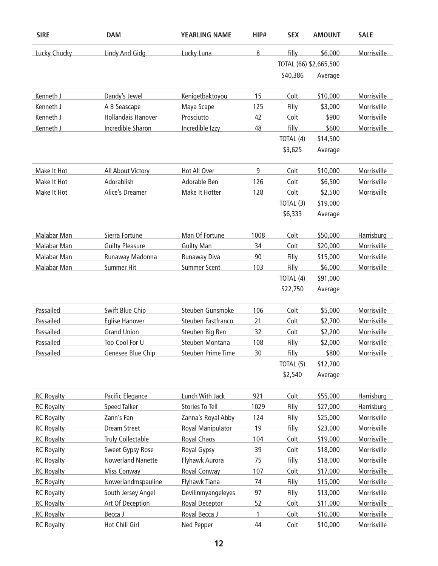| <b>SIRE</b>       | <b>DAM</b>                | <b>YEARLING NAME</b>     | HIP# | <b>SEX</b> | <b>AMOUNT</b>          | <b>SALE</b> |
|-------------------|---------------------------|--------------------------|------|------------|------------------------|-------------|
| Lucky Chucky      | <b>Lindy And Gidg</b>     | Lucky Luna               | 8    | Filly      | \$6,000                | Morrisville |
|                   |                           |                          |      |            | TOTAL (66) \$2,665,500 |             |
|                   |                           |                          |      | \$40,386   | Average                |             |
| Kenneth J         | Dandy's Jewel             | Kenigetbaktoyou          | 15   | Colt       | \$10,000               | Morrisville |
| Kenneth J         | A B Seascape              | Maya Scape               | 125  | Filly      | \$3,000                | Morrisville |
| Kenneth J         | <b>Hollandais Hanover</b> | Prosciutto               | 42   | Colt       | \$900                  | Morrisville |
| Kenneth J         | Incredible Sharon         | Incredible Izzy          | 48   | Filly      | \$600                  | Morrisville |
|                   |                           |                          |      | TOTAL (4)  | \$14,500               |             |
|                   |                           |                          |      | \$3,625    | Average                |             |
| Make It Hot       | All About Victory         | Hot All Over             | 9    | Colt       | \$10,000               | Morrisville |
| Make It Hot       | Adorablish                | Adorable Ben             | 126  | Colt       | \$6,500                | Morrisville |
| Make It Hot       | Alice's Dreamer           | Make It Hotter           | 128  | Colt       | \$2,500                | Morrisville |
|                   |                           |                          |      | TOTAL (3)  | \$19,000               |             |
|                   |                           |                          |      | \$6,333    | Average                |             |
| Malabar Man       | Sierra Fortune            | Man Of Fortune           | 1008 | Colt       | \$50,000               | Harrisburg  |
| Malabar Man       | <b>Guilty Pleasure</b>    | <b>Guilty Man</b>        | 34   | Colt       | \$20,000               | Morrisville |
| Malabar Man       | Runaway Madonna           | <b>Runaway Diva</b>      | 90   | Filly      | \$15,000               | Morrisville |
| Malabar Man       | <b>Summer Hit</b>         | <b>Summer Scent</b>      | 103  | Filly      | \$6,000                | Morrisville |
|                   |                           |                          |      | TOTAL (4)  | \$91,000               |             |
|                   |                           |                          |      | \$22,750   | Average                |             |
| Passailed         | Swift Blue Chip           | Steuben Gunsmoke         | 106  | Colt       | \$5,000                | Morrisville |
| Passailed         | <b>Eglise Hanover</b>     | Steuben Fastfranco       | 21   | Colt       | \$2,700                | Morrisville |
| Passailed         | <b>Grand Union</b>        | Steuben Big Ben          | 32   | Colt       | \$2,200                | Morrisville |
| Passailed         | Too Cool For U            | Steuben Montana          | 108  | Filly      | \$2,000                | Morrisville |
| Passailed         | Genesee Blue Chip         | Steuben Prime Time       | 30   | Filly      | \$800                  | Morrisville |
|                   |                           |                          |      | TOTAL (5)  | \$12,700               |             |
|                   |                           |                          |      | \$2,540    | Average                |             |
| <b>RC Royalty</b> | Pacific Elegance          | Lunch With Jack          | 921  | Colt       | \$55,000               | Harrisburg  |
| <b>RC Royalty</b> | <b>Speed Talker</b>       | <b>Stories To Tell</b>   | 1029 | Filly      | \$27,000               | Harrisburg  |
| <b>RC Royalty</b> | Zann's Fan                | Zanna's Royal Abby       | 124  | Filly      | \$25,000               | Morrisville |
| <b>RC Royalty</b> | <b>Dream Street</b>       | <b>Royal Manipulator</b> | 19   | Filly      | \$23,000               | Morrisville |
| <b>RC Royalty</b> | Truly Collectable         | Royal Chaos              | 104  | Colt       | \$19,000               | Morrisville |
| <b>RC Royalty</b> | Sweet Gypsy Rose          | Royal Gypsy              | 39   | Colt       | \$18,000               | Morrisville |
| <b>RC Royalty</b> | <b>Nowerland Nanette</b>  | Flyhawk Aurora           | 75   | Filly      | \$18,000               | Morrisville |
| <b>RC Royalty</b> | <b>Miss Conway</b>        | Royal Conway             | 107  | Colt       | \$17,000               | Morrisville |
| <b>RC Royalty</b> | Nowerlandmspauline        | Flyhawk Tiana            | 74   | Filly      | \$15,000               | Morrisville |
| <b>RC Royalty</b> | South Jersey Angel        | Devilinmyangeleyes       | 97   | Filly      | \$13,000               | Morrisville |
| <b>RC Royalty</b> | Art Of Deception          | Royal Deceptor           | 52   | Colt       | \$11,000               | Morrisville |
| <b>RC Royalty</b> | Becca J                   | Royal Becca J            | 1    | Colt       | \$10,000               | Morrisville |
| <b>RC Royalty</b> | Hot Chili Girl            | Ned Pepper               | 44   | Colt       | \$10,000               | Morrisville |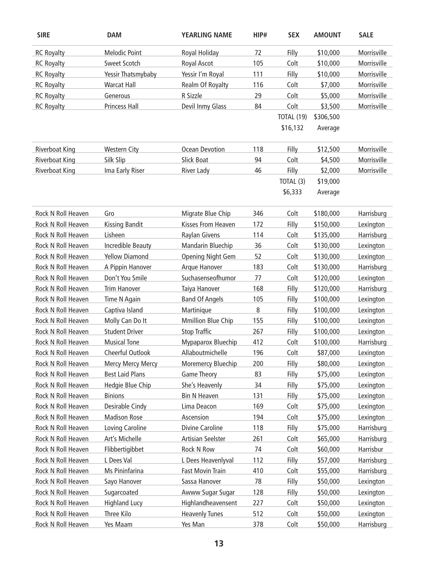| <b>SIRE</b>           | <b>DAM</b>             | <b>YEARLING NAME</b>      | HIP# | <b>SEX</b> | <b>AMOUNT</b> | <b>SALE</b> |
|-----------------------|------------------------|---------------------------|------|------------|---------------|-------------|
| <b>RC Royalty</b>     | <b>Melodic Point</b>   | Royal Holiday             | 72   | Filly      | \$10,000      | Morrisville |
| <b>RC Royalty</b>     | <b>Sweet Scotch</b>    | Royal Ascot               | 105  | Colt       | \$10,000      | Morrisville |
| <b>RC Royalty</b>     | Yessir Thatsmybaby     | Yessir I'm Royal          | 111  | Filly      | \$10,000      | Morrisville |
| <b>RC Royalty</b>     | <b>Warcat Hall</b>     | Realm Of Royalty          | 116  | Colt       | \$7,000       | Morrisville |
| <b>RC Royalty</b>     | Generous               | R Sizzle                  | 29   | Colt       | \$5,000       | Morrisville |
| <b>RC Royalty</b>     | Princess Hall          | Devil Inmy Glass          | 84   | Colt       | \$3,500       | Morrisville |
|                       |                        |                           |      | TOTAL (19) | \$306,500     |             |
|                       |                        |                           |      | \$16,132   | Average       |             |
| <b>Riverboat King</b> | <b>Western City</b>    | <b>Ocean Devotion</b>     | 118  | Filly      | \$12,500      | Morrisville |
| <b>Riverboat King</b> | Silk Slip              | <b>Slick Boat</b>         | 94   | Colt       | \$4,500       | Morrisville |
| <b>Riverboat King</b> | Ima Early Riser        | <b>River Lady</b>         | 46   | Filly      | \$2,000       | Morrisville |
|                       |                        |                           |      | TOTAL (3)  | \$19,000      |             |
|                       |                        |                           |      | \$6,333    | Average       |             |
| Rock N Roll Heaven    | Gro                    | Migrate Blue Chip         | 346  | Colt       | \$180,000     | Harrisburg  |
| Rock N Roll Heaven    | <b>Kissing Bandit</b>  | Kisses From Heaven        | 172  | Filly      | \$150,000     | Lexington   |
| Rock N Roll Heaven    | Lisheen                | <b>Raylan Givens</b>      | 114  | Colt       | \$135,000     | Harrisburg  |
| Rock N Roll Heaven    | Incredible Beauty      | Mandarin Bluechip         | 36   | Colt       | \$130,000     | Lexington   |
| Rock N Roll Heaven    | <b>Yellow Diamond</b>  | <b>Opening Night Gem</b>  | 52   | Colt       | \$130,000     | Lexington   |
| Rock N Roll Heaven    | A Pippin Hanover       | Arque Hanover             | 183  | Colt       | \$130,000     | Harrisburg  |
| Rock N Roll Heaven    | Don't You Smile        | Suchasenseofhumor         | 77   | Colt       | \$120,000     | Lexington   |
| Rock N Roll Heaven    | <b>Trim Hanover</b>    | Taiya Hanover             | 168  | Filly      | \$120,000     | Harrisburg  |
| Rock N Roll Heaven    | Time N Again           | <b>Band Of Angels</b>     | 105  | Filly      | \$100,000     | Lexington   |
| Rock N Roll Heaven    | Captiva Island         | Martinique                | 8    | Filly      | \$100,000     | Lexington   |
| Rock N Roll Heaven    | Molly Can Do It        | <b>Mmillion Blue Chip</b> | 155  | Filly      | \$100,000     | Lexington   |
| Rock N Roll Heaven    | <b>Student Driver</b>  | <b>Stop Traffic</b>       | 267  | Filly      | \$100,000     | Lexington   |
| Rock N Roll Heaven    | <b>Musical Tone</b>    | Mypaparox Bluechip        | 412  | Colt       | \$100,000     | Harrisburg  |
| Rock N Roll Heaven    | Cheerful Outlook       | Allaboutmichelle          | 196  | Colt       | \$87,000      | Lexington   |
| Rock N Roll Heaven    | Mercy Mercy Mercy      | Moremercy Bluechip        | 200  | Filly      | \$80,000      | Lexington   |
| Rock N Roll Heaven    | <b>Best Laid Plans</b> | <b>Game Theory</b>        | 83   | Filly      | \$75,000      | Lexington   |
| Rock N Roll Heaven    | Hedgie Blue Chip       | She's Heavenly            | 34   | Filly      | \$75,000      | Lexington   |
| Rock N Roll Heaven    | <b>Binions</b>         | <b>Bin N Heaven</b>       | 131  | Filly      | \$75,000      | Lexington   |
| Rock N Roll Heaven    | Desirable Cindy        | Lima Deacon               | 169  | Colt       | \$75,000      | Lexington   |
| Rock N Roll Heaven    | <b>Madison Rose</b>    | Ascension                 | 194  | Colt       | \$75,000      | Lexington   |
| Rock N Roll Heaven    | Loving Caroline        | Divine Caroline           | 118  | Filly      | \$75,000      | Harrisburg  |
| Rock N Roll Heaven    | Art's Michelle         | <b>Artisian Seelster</b>  | 261  | Colt       | \$65,000      | Harrisburg  |
| Rock N Roll Heaven    | Flibbertigibbet        | Rock N Row                | 74   | Colt       | \$60,000      | Harrisbur   |
| Rock N Roll Heaven    | L Dees Val             | L Dees Heavenlyval        | 112  | Filly      | \$57,000      | Harrisburg  |
| Rock N Roll Heaven    | Ms Pininfarina         | <b>Fast Movin Train</b>   | 410  | Colt       | \$55,000      | Harrisburg  |
| Rock N Roll Heaven    | Sayo Hanover           | Sassa Hanover             | 78   | Filly      | \$50,000      | Lexington   |
| Rock N Roll Heaven    | Sugarcoated            | Awww Sugar Sugar          | 128  | Filly      | \$50,000      | Lexington   |
| Rock N Roll Heaven    | <b>Highland Lucy</b>   | Highlandheavensent        | 227  | Colt       | \$50,000      | Lexington   |
| Rock N Roll Heaven    | Three Kilo             | <b>Heavenly Tunes</b>     | 512  | Colt       | \$50,000      | Lexington   |
| Rock N Roll Heaven    | Yes Maam               | Yes Man                   | 378  | Colt       | \$50,000      | Harrisburg  |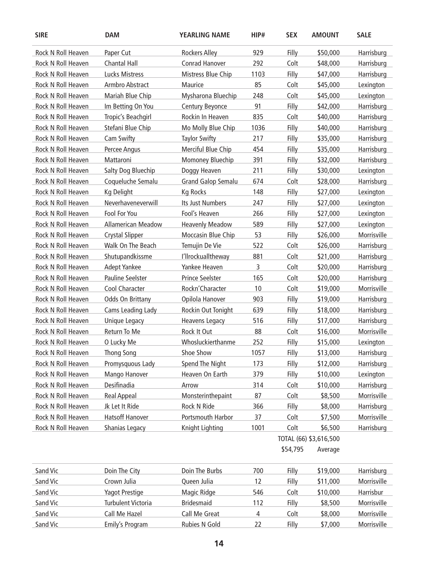| <b>SIRE</b>               | <b>DAM</b>                | <b>YEARLING NAME</b>      | HIP# | <b>SEX</b> | <b>AMOUNT</b>          | <b>SALE</b> |
|---------------------------|---------------------------|---------------------------|------|------------|------------------------|-------------|
| Rock N Roll Heaven        | Paper Cut                 | <b>Rockers Alley</b>      | 929  | Filly      | \$50,000               | Harrisburg  |
| Rock N Roll Heaven        | <b>Chantal Hall</b>       | <b>Conrad Hanover</b>     | 292  | Colt       | \$48,000               | Harrisburg  |
| Rock N Roll Heaven        | <b>Lucks Mistress</b>     | Mistress Blue Chip        | 1103 | Filly      | \$47,000               | Harrisburg  |
| Rock N Roll Heaven        | Armbro Abstract           | Maurice                   | 85   | Colt       | \$45,000               | Lexington   |
| Rock N Roll Heaven        | Mariah Blue Chip          | Mysharona Bluechip        | 248  | Colt       | \$45,000               | Lexington   |
| Rock N Roll Heaven        | Im Betting On You         | Century Beyonce           | 91   | Filly      | \$42,000               | Harrisburg  |
| <b>Rock N Roll Heaven</b> | Tropic's Beachgirl        | Rockin In Heaven          | 835  | Colt       | \$40,000               | Harrisburg  |
| Rock N Roll Heaven        | Stefani Blue Chip         | Mo Molly Blue Chip        | 1036 | Filly      | \$40,000               | Harrisburg  |
| Rock N Roll Heaven        | Cam Swifty                | <b>Taylor Swifty</b>      | 217  | Filly      | \$35,000               | Harrisburg  |
| Rock N Roll Heaven        | Percee Angus              | Merciful Blue Chip        | 454  | Filly      | \$35,000               | Harrisburg  |
| Rock N Roll Heaven        | Mattaroni                 | Momoney Bluechip          | 391  | Filly      | \$32,000               | Harrisburg  |
| Rock N Roll Heaven        | Salty Dog Bluechip        | Doggy Heaven              | 211  | Filly      | \$30,000               | Lexington   |
| Rock N Roll Heaven        | Coqueluche Semalu         | <b>Grand Galop Semalu</b> | 674  | Colt       | \$28,000               | Harrisburg  |
| Rock N Roll Heaven        | Kg Delight                | <b>Kg Rocks</b>           | 148  | Filly      | \$27,000               | Lexington   |
| Rock N Roll Heaven        | Neverhaveneverwill        | Its Just Numbers          | 247  | Filly      | \$27,000               | Lexington   |
| Rock N Roll Heaven        | Fool For You              | Fool's Heaven             | 266  | Filly      | \$27,000               | Lexington   |
| Rock N Roll Heaven        | <b>Allamerican Meadow</b> | <b>Heavenly Meadow</b>    | 589  | Filly      | \$27,000               | Lexington   |
| Rock N Roll Heaven        | <b>Crystal Slipper</b>    | Moccasin Blue Chip        | 53   | Filly      | \$26,000               | Morrisville |
| Rock N Roll Heaven        | Walk On The Beach         | Temujin De Vie            | 522  | Colt       | \$26,000               | Harrisburg  |
| Rock N Roll Heaven        | Shutupandkissme           | I'llrockualltheway        | 881  | Colt       | \$21,000               | Harrisburg  |
| Rock N Roll Heaven        | <b>Adept Yankee</b>       | Yankee Heaven             | 3    | Colt       | \$20,000               | Harrisburg  |
| Rock N Roll Heaven        | <b>Pauline Seelster</b>   | <b>Prince Seelster</b>    | 165  | Colt       | \$20,000               | Harrisburg  |
| Rock N Roll Heaven        | Cool Character            | Rockn'Character           | 10   | Colt       | \$19,000               | Morrisville |
| Rock N Roll Heaven        | Odds On Brittany          | Opilola Hanover           | 903  | Filly      | \$19,000               | Harrisburg  |
| Rock N Roll Heaven        | Cams Leading Lady         | Rockin Out Tonight        | 639  | Filly      | \$18,000               | Harrisburg  |
| Rock N Roll Heaven        | <b>Unique Legacy</b>      | <b>Heavens Legacy</b>     | 516  | Filly      | \$17,000               | Harrisburg  |
| Rock N Roll Heaven        | Return To Me              | Rock It Out               | 88   | Colt       | \$16,000               | Morrisville |
| Rock N Roll Heaven        | O Lucky Me                | Whosluckierthanme         | 252  | Filly      | \$15,000               | Lexington   |
| Rock N Roll Heaven        | <b>Thong Song</b>         | Shoe Show                 | 1057 | Filly      | \$13,000               | Harrisburg  |
| Rock N Roll Heaven        | Promysquous Lady          | Spend The Night           | 173  | Filly      | \$12,000               | Harrisburg  |
| Rock N Roll Heaven        | Mango Hanover             | Heaven On Earth           | 379  | Filly      | \$10,000               | Lexington   |
| Rock N Roll Heaven        | Desifinadia               | Arrow                     | 314  | Colt       | \$10,000               | Harrisburg  |
| Rock N Roll Heaven        | <b>Real Appeal</b>        | Monsterinthepaint         | 87   | Colt       | \$8,500                | Morrisville |
| Rock N Roll Heaven        | Jk Let It Ride            | Rock N Ride               | 366  | Filly      | \$8,000                | Harrisburg  |
| Rock N Roll Heaven        | <b>Hatsoff Hanover</b>    | Portsmouth Harbor         | 37   | Colt       | \$7,500                | Morrisville |
| Rock N Roll Heaven        | Shanias Legacy            | Knight Lighting           | 1001 | Colt       | \$6,500                | Harrisburg  |
|                           |                           |                           |      |            | TOTAL (66) \$3,616,500 |             |
|                           |                           |                           |      | \$54,795   | Average                |             |
| Sand Vic                  | Doin The City             | Doin The Burbs            | 700  | Filly      | \$19,000               | Harrisburg  |
| Sand Vic                  | Crown Julia               | Queen Julia               | 12   | Filly      | \$11,000               | Morrisville |
| Sand Vic                  | <b>Yagot Prestige</b>     | Magic Ridge               | 546  | Colt       | \$10,000               | Harrisbur   |
| Sand Vic                  | <b>Turbulent Victoria</b> | <b>Bridesmaid</b>         | 112  | Filly      | \$8,500                | Morrisville |
| Sand Vic                  | Call Me Hazel             | Call Me Great             | 4    | Colt       | \$8,000                | Morrisville |
| Sand Vic                  | Emily's Program           | Rubies N Gold             | 22   | Filly      | \$7,000                | Morrisville |